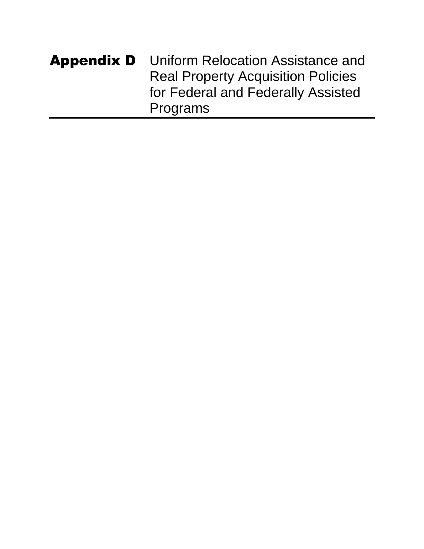| <b>Appendix D</b> | Uniform Relocation Assistance and         |
|-------------------|-------------------------------------------|
|                   | <b>Real Property Acquisition Policies</b> |
|                   | for Federal and Federally Assisted        |
|                   | Programs                                  |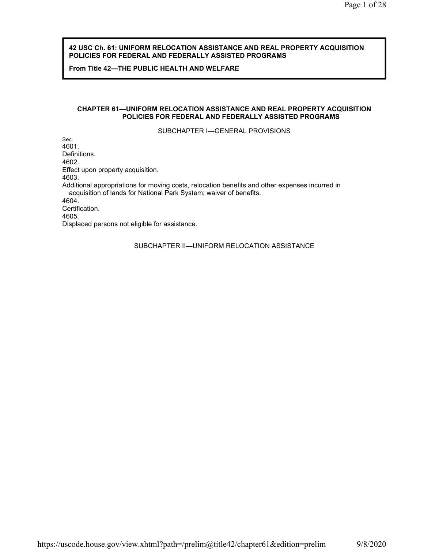#### **42 USC Ch. 61: UNIFORM RELOCATION ASSISTANCE AND REAL PROPERTY ACQUISITION POLICIES FOR FEDERAL AND FEDERALLY ASSISTED PROGRAMS**

**From Title 42—THE PUBLIC HEALTH AND WELFARE**

#### **CHAPTER 61—UNIFORM RELOCATION ASSISTANCE AND REAL PROPERTY ACQUISITION POLICIES FOR FEDERAL AND FEDERALLY ASSISTED PROGRAMS**

SUBCHAPTER I—GENERAL PROVISIONS

Sec. 4601. Definitions. 4602. Effect upon property acquisition. 4603. Additional appropriations for moving costs, relocation benefits and other expenses incurred in acquisition of lands for National Park System; waiver of benefits. 4604. Certification. 4605. Displaced persons not eligible for assistance.

SUBCHAPTER II—UNIFORM RELOCATION ASSISTANCE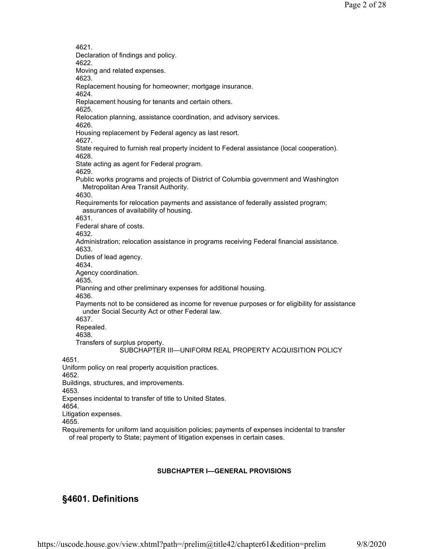SUBCHAPTER III—UNIFORM REAL PROPERTY ACQUISITION POLICY 4621. Declaration of findings and policy. 4622. Moving and related expenses. 4623. Replacement housing for homeowner; mortgage insurance. 4624. Replacement housing for tenants and certain others. 4625. Relocation planning, assistance coordination, and advisory services. 4626. Housing replacement by Federal agency as last resort. 4627. State required to furnish real property incident to Federal assistance (local cooperation). 4628. State acting as agent for Federal program. 4629. Public works programs and projects of District of Columbia government and Washington Metropolitan Area Transit Authority. 4630. Requirements for relocation payments and assistance of federally assisted program; assurances of availability of housing. 4631. Federal share of costs. 4632. Administration; relocation assistance in programs receiving Federal financial assistance. 4633. Duties of lead agency. 4634. Agency coordination. 4635. Planning and other preliminary expenses for additional housing. 4636. Payments not to be considered as income for revenue purposes or for eligibility for assistance under Social Security Act or other Federal law. 4637. Repealed. 4638. Transfers of surplus property. 4651. Uniform policy on real property acquisition practices. 4652. Buildings, structures, and improvements. 4653. Expenses incidental to transfer of title to United States. 4654. Litigation expenses. 4655. Requirements for uniform land acquisition policies; payments of expenses incidental to transfer of real property to State; payment of litigation expenses in certain cases.

#### **SUBCHAPTER I—GENERAL PROVISIONS**

# **§4601. Definitions**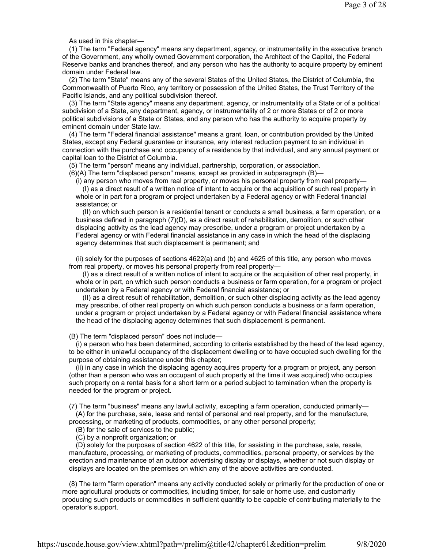As used in this chapter—

(1) The term "Federal agency" means any department, agency, or instrumentality in the executive branch of the Government, any wholly owned Government corporation, the Architect of the Capitol, the Federal Reserve banks and branches thereof, and any person who has the authority to acquire property by eminent domain under Federal law.

(2) The term "State" means any of the several States of the United States, the District of Columbia, the Commonwealth of Puerto Rico, any territory or possession of the United States, the Trust Territory of the Pacific Islands, and any political subdivision thereof.

(3) The term "State agency" means any department, agency, or instrumentality of a State or of a political subdivision of a State, any department, agency, or instrumentality of 2 or more States or of 2 or more political subdivisions of a State or States, and any person who has the authority to acquire property by eminent domain under State law.

(4) The term "Federal financial assistance" means a grant, loan, or contribution provided by the United States, except any Federal guarantee or insurance, any interest reduction payment to an individual in connection with the purchase and occupancy of a residence by that individual, and any annual payment or capital loan to the District of Columbia.

(5) The term "person" means any individual, partnership, corporation, or association.

(6)(A) The term "displaced person" means, except as provided in subparagraph (B)—

(i) any person who moves from real property, or moves his personal property from real property—

(I) as a direct result of a written notice of intent to acquire or the acquisition of such real property in whole or in part for a program or project undertaken by a Federal agency or with Federal financial assistance; or

(II) on which such person is a residential tenant or conducts a small business, a farm operation, or a business defined in paragraph (7)(D), as a direct result of rehabilitation, demolition, or such other displacing activity as the lead agency may prescribe, under a program or project undertaken by a Federal agency or with Federal financial assistance in any case in which the head of the displacing agency determines that such displacement is permanent; and

(ii) solely for the purposes of sections 4622(a) and (b) and 4625 of this title, any person who moves from real property, or moves his personal property from real property—

(I) as a direct result of a written notice of intent to acquire or the acquisition of other real property, in whole or in part, on which such person conducts a business or farm operation, for a program or project undertaken by a Federal agency or with Federal financial assistance; or

(II) as a direct result of rehabilitation, demolition, or such other displacing activity as the lead agency may prescribe, of other real property on which such person conducts a business or a farm operation, under a program or project undertaken by a Federal agency or with Federal financial assistance where the head of the displacing agency determines that such displacement is permanent.

(B) The term "displaced person" does not include—

(i) a person who has been determined, according to criteria established by the head of the lead agency, to be either in unlawful occupancy of the displacement dwelling or to have occupied such dwelling for the purpose of obtaining assistance under this chapter;

(ii) in any case in which the displacing agency acquires property for a program or project, any person (other than a person who was an occupant of such property at the time it was acquired) who occupies such property on a rental basis for a short term or a period subject to termination when the property is needed for the program or project.

(7) The term "business" means any lawful activity, excepting a farm operation, conducted primarily— (A) for the purchase, sale, lease and rental of personal and real property, and for the manufacture,

processing, or marketing of products, commodities, or any other personal property;

(B) for the sale of services to the public;

(C) by a nonprofit organization; or

(D) solely for the purposes of section 4622 of this title, for assisting in the purchase, sale, resale, manufacture, processing, or marketing of products, commodities, personal property, or services by the erection and maintenance of an outdoor advertising display or displays, whether or not such display or displays are located on the premises on which any of the above activities are conducted.

(8) The term "farm operation" means any activity conducted solely or primarily for the production of one or more agricultural products or commodities, including timber, for sale or home use, and customarily producing such products or commodities in sufficient quantity to be capable of contributing materially to the operator's support.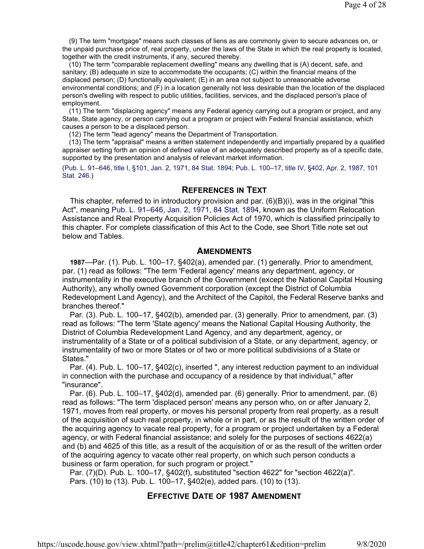(9) The term "mortgage" means such classes of liens as are commonly given to secure advances on, or the unpaid purchase price of, real property, under the laws of the State in which the real property is located, together with the credit instruments, if any, secured thereby.

(10) The term "comparable replacement dwelling" means any dwelling that is (A) decent, safe, and sanitary; (B) adequate in size to accommodate the occupants; (C) within the financial means of the displaced person; (D) functionally equivalent; (E) in an area not subject to unreasonable adverse environmental conditions; and (F) in a location generally not less desirable than the location of the displaced person's dwelling with respect to public utilities, facilities, services, and the displaced person's place of employment.

(11) The term "displacing agency" means any Federal agency carrying out a program or project, and any State, State agency, or person carrying out a program or project with Federal financial assistance, which causes a person to be a displaced person.

(12) The term "lead agency" means the Department of Transportation.

(13) The term "appraisal" means a written statement independently and impartially prepared by a qualified appraiser setting forth an opinion of defined value of an adequately described property as of a specific date, supported by the presentation and analysis of relevant market information.

(Pub. L. 91–646, title I, §101, Jan. 2, 1971, 84 Stat. 1894; Pub. L. 100–17, title IV, §402, Apr. 2, 1987, 101 Stat. 246.)

### **REFERENCES IN TEXT**

This chapter, referred to in introductory provision and par.  $(6)(B)(i)$ , was in the original "this Act", meaning Pub. L. 91–646, Jan. 2, 1971, 84 Stat. 1894, known as the Uniform Relocation Assistance and Real Property Acquisition Policies Act of 1970, which is classified principally to this chapter. For complete classification of this Act to the Code, see Short Title note set out below and Tables.

## **AMENDMENTS**

**1987**—Par. (1). Pub. L. 100–17, §402(a), amended par. (1) generally. Prior to amendment, par. (1) read as follows: "The term 'Federal agency' means any department, agency, or instrumentality in the executive branch of the Government (except the National Capital Housing Authority), any wholly owned Government corporation (except the District of Columbia Redevelopment Land Agency), and the Architect of the Capitol, the Federal Reserve banks and branches thereof."

Par. (3). Pub. L. 100–17, §402(b), amended par. (3) generally. Prior to amendment, par. (3) read as follows: "The term 'State agency' means the National Capital Housing Authority, the District of Columbia Redevelopment Land Agency, and any department, agency, or instrumentality of a State or of a political subdivision of a State, or any department, agency, or instrumentality of two or more States or of two or more political subdivisions of a State or States."

Par. (4). Pub. L. 100–17, §402(c), inserted ", any interest reduction payment to an individual in connection with the purchase and occupancy of a residence by that individual," after "insurance".

Par. (6). Pub. L. 100–17, §402(d), amended par. (6) generally. Prior to amendment, par. (6) read as follows: "The term 'displaced person' means any person who, on or after January 2, 1971, moves from real property, or moves his personal property from real property, as a result of the acquisition of such real property, in whole or in part, or as the result of the written order of the acquiring agency to vacate real property, for a program or project undertaken by a Federal agency, or with Federal financial assistance; and solely for the purposes of sections 4622(a) and (b) and 4625 of this title, as a result of the acquisition of or as the result of the written order of the acquiring agency to vacate other real property, on which such person conducts a business or farm operation, for such program or project."

Par. (7)(D). Pub. L. 100–17, §402(f), substituted "section 4622" for "section 4622(a)". Pars. (10) to (13). Pub. L. 100–17, §402(e), added pars. (10) to (13).

# **EFFECTIVE DATE OF 1987 AMENDMENT**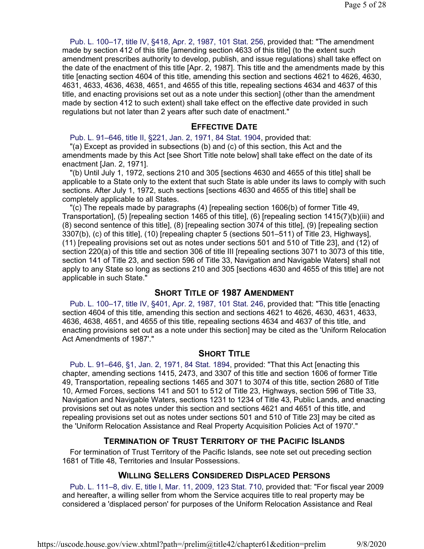Pub. L. 100–17, title IV, §418, Apr. 2, 1987, 101 Stat. 256, provided that: "The amendment made by section 412 of this title [amending section 4633 of this title] (to the extent such amendment prescribes authority to develop, publish, and issue regulations) shall take effect on the date of the enactment of this title [Apr. 2, 1987]. This title and the amendments made by this title [enacting section 4604 of this title, amending this section and sections 4621 to 4626, 4630, 4631, 4633, 4636, 4638, 4651, and 4655 of this title, repealing sections 4634 and 4637 of this title, and enacting provisions set out as a note under this section] (other than the amendment made by section 412 to such extent) shall take effect on the effective date provided in such regulations but not later than 2 years after such date of enactment."

### **EFFECTIVE DATE**

Pub. L. 91–646, title II, §221, Jan. 2, 1971, 84 Stat. 1904, provided that: "(a) Except as provided in subsections (b) and (c) of this section, this Act and the amendments made by this Act [see Short Title note below] shall take effect on the date of its enactment [Jan. 2, 1971].

"(b) Until July 1, 1972, sections 210 and 305 [sections 4630 and 4655 of this title] shall be applicable to a State only to the extent that such State is able under its laws to comply with such sections. After July 1, 1972, such sections [sections 4630 and 4655 of this title] shall be completely applicable to all States.

"(c) The repeals made by paragraphs (4) [repealing section 1606(b) of former Title 49, Transportation], (5) [repealing section 1465 of this title], (6) [repealing section 1415(7)(b)(iii) and (8) second sentence of this title], (8) [repealing section 3074 of this title], (9) [repealing section 3307(b), (c) of this title], (10) [repealing chapter 5 (sections 501–511) of Title 23, Highways], (11) [repealing provisions set out as notes under sections 501 and 510 of Title 23], and (12) of section 220(a) of this title and section 306 of title III [repealing sections 3071 to 3073 of this title, section 141 of Title 23, and section 596 of Title 33, Navigation and Navigable Waters] shall not apply to any State so long as sections 210 and 305 [sections 4630 and 4655 of this title] are not applicable in such State."

## **SHORT TITLE OF 1987 AMENDMENT**

Pub. L. 100–17, title IV, §401, Apr. 2, 1987, 101 Stat. 246, provided that: "This title [enacting section 4604 of this title, amending this section and sections 4621 to 4626, 4630, 4631, 4633, 4636, 4638, 4651, and 4655 of this title, repealing sections 4634 and 4637 of this title, and enacting provisions set out as a note under this section] may be cited as the 'Uniform Relocation Act Amendments of 1987'."

#### **SHORT TITLE**

Pub. L. 91–646, §1, Jan. 2, 1971, 84 Stat. 1894, provided: "That this Act [enacting this chapter, amending sections 1415, 2473, and 3307 of this title and section 1606 of former Title 49, Transportation, repealing sections 1465 and 3071 to 3074 of this title, section 2680 of Title 10, Armed Forces, sections 141 and 501 to 512 of Title 23, Highways, section 596 of Title 33, Navigation and Navigable Waters, sections 1231 to 1234 of Title 43, Public Lands, and enacting provisions set out as notes under this section and sections 4621 and 4651 of this title, and repealing provisions set out as notes under sections 501 and 510 of Title 23] may be cited as the 'Uniform Relocation Assistance and Real Property Acquisition Policies Act of 1970'."

## **TERMINATION OF TRUST TERRITORY OF THE PACIFIC ISLANDS**

For termination of Trust Territory of the Pacific Islands, see note set out preceding section 1681 of Title 48, Territories and Insular Possessions.

## **WILLING SELLERS CONSIDERED DISPLACED PERSONS**

Pub. L. 111–8, div. E, title I, Mar. 11, 2009, 123 Stat. 710, provided that: "For fiscal year 2009 and hereafter, a willing seller from whom the Service acquires title to real property may be considered a 'displaced person' for purposes of the Uniform Relocation Assistance and Real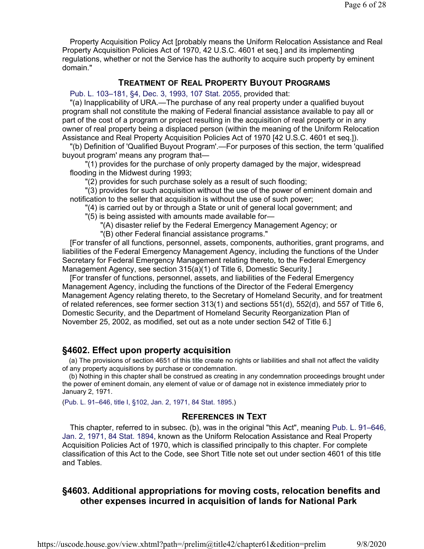Property Acquisition Policy Act [probably means the Uniform Relocation Assistance and Real Property Acquisition Policies Act of 1970, 42 U.S.C. 4601 et seq.] and its implementing regulations, whether or not the Service has the authority to acquire such property by eminent domain."

# **TREATMENT OF REAL PROPERTY BUYOUT PROGRAMS**

## Pub. L. 103–181, §4, Dec. 3, 1993, 107 Stat. 2055, provided that:

"(a) Inapplicability of URA.—The purchase of any real property under a qualified buyout program shall not constitute the making of Federal financial assistance available to pay all or part of the cost of a program or project resulting in the acquisition of real property or in any owner of real property being a displaced person (within the meaning of the Uniform Relocation Assistance and Real Property Acquisition Policies Act of 1970 [42 U.S.C. 4601 et seq.]).

"(b) Definition of 'Qualified Buyout Program'.—For purposes of this section, the term 'qualified buyout program' means any program that—

"(1) provides for the purchase of only property damaged by the major, widespread flooding in the Midwest during 1993;

"(2) provides for such purchase solely as a result of such flooding;

"(3) provides for such acquisition without the use of the power of eminent domain and notification to the seller that acquisition is without the use of such power;

"(4) is carried out by or through a State or unit of general local government; and

"(5) is being assisted with amounts made available for—

"(A) disaster relief by the Federal Emergency Management Agency; or

"(B) other Federal financial assistance programs."

[For transfer of all functions, personnel, assets, components, authorities, grant programs, and liabilities of the Federal Emergency Management Agency, including the functions of the Under Secretary for Federal Emergency Management relating thereto, to the Federal Emergency Management Agency, see section 315(a)(1) of Title 6, Domestic Security.]

[For transfer of functions, personnel, assets, and liabilities of the Federal Emergency Management Agency, including the functions of the Director of the Federal Emergency Management Agency relating thereto, to the Secretary of Homeland Security, and for treatment of related references, see former section 313(1) and sections 551(d), 552(d), and 557 of Title 6, Domestic Security, and the Department of Homeland Security Reorganization Plan of November 25, 2002, as modified, set out as a note under section 542 of Title 6.]

# **§4602. Effect upon property acquisition**

(a) The provisions of section 4651 of this title create no rights or liabilities and shall not affect the validity of any property acquisitions by purchase or condemnation.

(b) Nothing in this chapter shall be construed as creating in any condemnation proceedings brought under the power of eminent domain, any element of value or of damage not in existence immediately prior to January 2, 1971.

(Pub. L. 91–646, title I, §102, Jan. 2, 1971, 84 Stat. 1895.)

# **REFERENCES IN TEXT**

This chapter, referred to in subsec. (b), was in the original "this Act", meaning Pub. L. 91–646, Jan. 2, 1971, 84 Stat. 1894, known as the Uniform Relocation Assistance and Real Property Acquisition Policies Act of 1970, which is classified principally to this chapter. For complete classification of this Act to the Code, see Short Title note set out under section 4601 of this title and Tables.

# **§4603. Additional appropriations for moving costs, relocation benefits and other expenses incurred in acquisition of lands for National Park**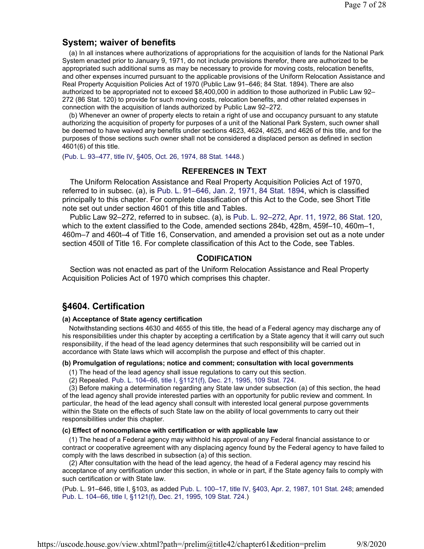# **System; waiver of benefits**

(a) In all instances where authorizations of appropriations for the acquisition of lands for the National Park System enacted prior to January 9, 1971, do not include provisions therefor, there are authorized to be appropriated such additional sums as may be necessary to provide for moving costs, relocation benefits, and other expenses incurred pursuant to the applicable provisions of the Uniform Relocation Assistance and Real Property Acquisition Policies Act of 1970 (Public Law 91–646; 84 Stat. 1894). There are also authorized to be appropriated not to exceed \$8,400,000 in addition to those authorized in Public Law 92– 272 (86 Stat. 120) to provide for such moving costs, relocation benefits, and other related expenses in connection with the acquisition of lands authorized by Public Law 92–272.

(b) Whenever an owner of property elects to retain a right of use and occupancy pursuant to any statute authorizing the acquisition of property for purposes of a unit of the National Park System, such owner shall be deemed to have waived any benefits under sections 4623, 4624, 4625, and 4626 of this title, and for the purposes of those sections such owner shall not be considered a displaced person as defined in section 4601(6) of this title.

(Pub. L. 93–477, title IV, §405, Oct. 26, 1974, 88 Stat. 1448.)

# **REFERENCES IN TEXT**

The Uniform Relocation Assistance and Real Property Acquisition Policies Act of 1970, referred to in subsec. (a), is Pub. L. 91–646, Jan. 2, 1971, 84 Stat. 1894, which is classified principally to this chapter. For complete classification of this Act to the Code, see Short Title note set out under section 4601 of this title and Tables.

Public Law 92–272, referred to in subsec. (a), is Pub. L. 92–272, Apr. 11, 1972, 86 Stat. 120, which to the extent classified to the Code, amended sections 284b, 428m, 459f–10, 460m–1, 460m–7 and 460t–4 of Title 16, Conservation, and amended a provision set out as a note under section 450ll of Title 16. For complete classification of this Act to the Code, see Tables.

# **CODIFICATION**

Section was not enacted as part of the Uniform Relocation Assistance and Real Property Acquisition Policies Act of 1970 which comprises this chapter.

# **§4604. Certification**

#### **(a) Acceptance of State agency certification**

Notwithstanding sections 4630 and 4655 of this title, the head of a Federal agency may discharge any of his responsibilities under this chapter by accepting a certification by a State agency that it will carry out such responsibility, if the head of the lead agency determines that such responsibility will be carried out in accordance with State laws which will accomplish the purpose and effect of this chapter.

#### **(b) Promulgation of regulations; notice and comment; consultation with local governments**

(1) The head of the lead agency shall issue regulations to carry out this section.

(2) Repealed. Pub. L. 104–66, title I, §1121(f), Dec. 21, 1995, 109 Stat. 724.

(3) Before making a determination regarding any State law under subsection (a) of this section, the head of the lead agency shall provide interested parties with an opportunity for public review and comment. In particular, the head of the lead agency shall consult with interested local general purpose governments within the State on the effects of such State law on the ability of local governments to carry out their responsibilities under this chapter.

#### **(c) Effect of noncompliance with certification or with applicable law**

(1) The head of a Federal agency may withhold his approval of any Federal financial assistance to or contract or cooperative agreement with any displacing agency found by the Federal agency to have failed to comply with the laws described in subsection (a) of this section.

(2) After consultation with the head of the lead agency, the head of a Federal agency may rescind his acceptance of any certification under this section, in whole or in part, if the State agency fails to comply with such certification or with State law.

(Pub. L. 91–646, title I, §103, as added Pub. L. 100–17, title IV, §403, Apr. 2, 1987, 101 Stat. 248; amended Pub. L. 104–66, title I, §1121(f), Dec. 21, 1995, 109 Stat. 724.)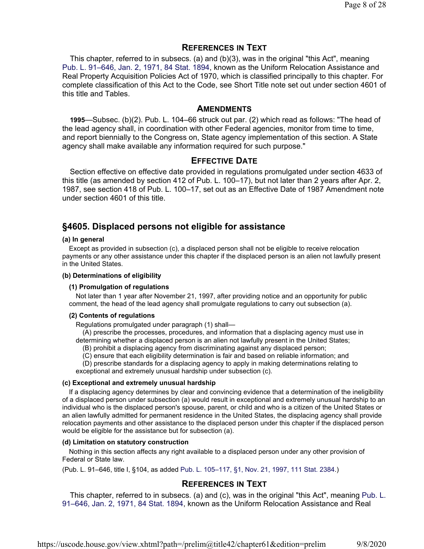## **REFERENCES IN TEXT**

This chapter, referred to in subsecs. (a) and (b)(3), was in the original "this Act", meaning Pub. L. 91–646, Jan. 2, 1971, 84 Stat. 1894, known as the Uniform Relocation Assistance and Real Property Acquisition Policies Act of 1970, which is classified principally to this chapter. For complete classification of this Act to the Code, see Short Title note set out under section 4601 of this title and Tables.

## **AMENDMENTS**

**1995**—Subsec. (b)(2). Pub. L. 104–66 struck out par. (2) which read as follows: "The head of the lead agency shall, in coordination with other Federal agencies, monitor from time to time, and report biennially to the Congress on, State agency implementation of this section. A State agency shall make available any information required for such purpose."

## **EFFECTIVE DATE**

Section effective on effective date provided in regulations promulgated under section 4633 of this title (as amended by section 412 of Pub. L. 100–17), but not later than 2 years after Apr. 2, 1987, see section 418 of Pub. L. 100–17, set out as an Effective Date of 1987 Amendment note under section 4601 of this title.

# **§4605. Displaced persons not eligible for assistance**

#### **(a) In general**

Except as provided in subsection (c), a displaced person shall not be eligible to receive relocation payments or any other assistance under this chapter if the displaced person is an alien not lawfully present in the United States.

#### **(b) Determinations of eligibility**

#### **(1) Promulgation of regulations**

Not later than 1 year after November 21, 1997, after providing notice and an opportunity for public comment, the head of the lead agency shall promulgate regulations to carry out subsection (a).

#### **(2) Contents of regulations**

Regulations promulgated under paragraph (1) shall—

(A) prescribe the processes, procedures, and information that a displacing agency must use in determining whether a displaced person is an alien not lawfully present in the United States;

(B) prohibit a displacing agency from discriminating against any displaced person;

(C) ensure that each eligibility determination is fair and based on reliable information; and

(D) prescribe standards for a displacing agency to apply in making determinations relating to exceptional and extremely unusual hardship under subsection (c).

#### **(c) Exceptional and extremely unusual hardship**

If a displacing agency determines by clear and convincing evidence that a determination of the ineligibility of a displaced person under subsection (a) would result in exceptional and extremely unusual hardship to an individual who is the displaced person's spouse, parent, or child and who is a citizen of the United States or an alien lawfully admitted for permanent residence in the United States, the displacing agency shall provide relocation payments and other assistance to the displaced person under this chapter if the displaced person would be eligible for the assistance but for subsection (a).

#### **(d) Limitation on statutory construction**

Nothing in this section affects any right available to a displaced person under any other provision of Federal or State law.

(Pub. L. 91–646, title I, §104, as added Pub. L. 105–117, §1, Nov. 21, 1997, 111 Stat. 2384.)

# **REFERENCES IN TEXT**

This chapter, referred to in subsecs. (a) and (c), was in the original "this Act", meaning Pub. L. 91–646, Jan. 2, 1971, 84 Stat. 1894, known as the Uniform Relocation Assistance and Real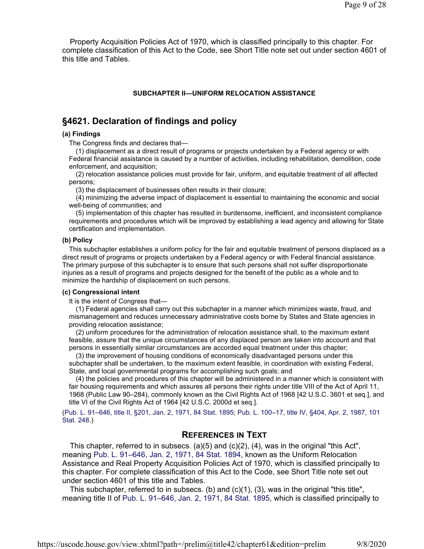Property Acquisition Policies Act of 1970, which is classified principally to this chapter. For complete classification of this Act to the Code, see Short Title note set out under section 4601 of this title and Tables.

#### **SUBCHAPTER II—UNIFORM RELOCATION ASSISTANCE**

# **§4621. Declaration of findings and policy**

#### **(a) Findings**

The Congress finds and declares that—

(1) displacement as a direct result of programs or projects undertaken by a Federal agency or with Federal financial assistance is caused by a number of activities, including rehabilitation, demolition, code enforcement, and acquisition;

(2) relocation assistance policies must provide for fair, uniform, and equitable treatment of all affected persons;

(3) the displacement of businesses often results in their closure;

(4) minimizing the adverse impact of displacement is essential to maintaining the economic and social well-being of communities; and

(5) implementation of this chapter has resulted in burdensome, inefficient, and inconsistent compliance requirements and procedures which will be improved by establishing a lead agency and allowing for State certification and implementation.

#### **(b) Policy**

This subchapter establishes a uniform policy for the fair and equitable treatment of persons displaced as a direct result of programs or projects undertaken by a Federal agency or with Federal financial assistance. The primary purpose of this subchapter is to ensure that such persons shall not suffer disproportionate injuries as a result of programs and projects designed for the benefit of the public as a whole and to minimize the hardship of displacement on such persons.

#### **(c) Congressional intent**

It is the intent of Congress that-

(1) Federal agencies shall carry out this subchapter in a manner which minimizes waste, fraud, and mismanagement and reduces unnecessary administrative costs borne by States and State agencies in providing relocation assistance;

(2) uniform procedures for the administration of relocation assistance shall, to the maximum extent feasible, assure that the unique circumstances of any displaced person are taken into account and that persons in essentially similar circumstances are accorded equal treatment under this chapter;

(3) the improvement of housing conditions of economically disadvantaged persons under this subchapter shall be undertaken, to the maximum extent feasible, in coordination with existing Federal, State, and local governmental programs for accomplishing such goals; and

(4) the policies and procedures of this chapter will be administered in a manner which is consistent with fair housing requirements and which assures all persons their rights under title VIII of the Act of April 11, 1968 (Public Law 90–284), commonly known as the Civil Rights Act of 1968 [42 U.S.C. 3601 et seq.], and title VI of the Civil Rights Act of 1964 [42 U.S.C. 2000d et seq.].

(Pub. L. 91–646, title II, §201, Jan. 2, 1971, 84 Stat. 1895; Pub. L. 100–17, title IV, §404, Apr. 2, 1987, 101 Stat. 248.)

# **REFERENCES IN TEXT**

This chapter, referred to in subsecs. (a)(5) and (c)(2), (4), was in the original "this Act", meaning Pub. L. 91–646, Jan. 2, 1971, 84 Stat. 1894, known as the Uniform Relocation Assistance and Real Property Acquisition Policies Act of 1970, which is classified principally to this chapter. For complete classification of this Act to the Code, see Short Title note set out under section 4601 of this title and Tables.

This subchapter, referred to in subsecs. (b) and  $(c)(1)$ ,  $(3)$ , was in the original "this title", meaning title II of Pub. L. 91–646, Jan. 2, 1971, 84 Stat. 1895, which is classified principally to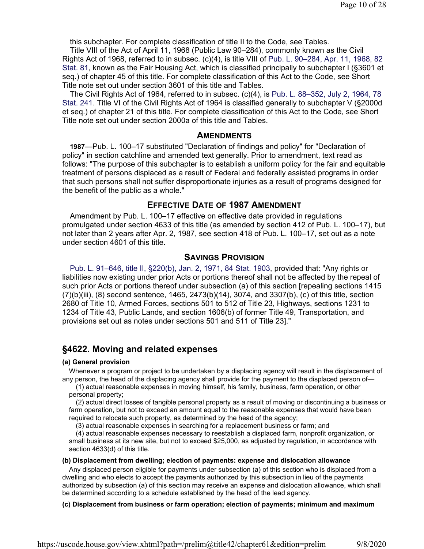this subchapter. For complete classification of title II to the Code, see Tables.

Title VIII of the Act of April 11, 1968 (Public Law 90–284), commonly known as the Civil Rights Act of 1968, referred to in subsec. (c)(4), is title VIII of Pub. L. 90–284, Apr. 11, 1968, 82 Stat. 81, known as the Fair Housing Act, which is classified principally to subchapter I (§3601 et seq.) of chapter 45 of this title. For complete classification of this Act to the Code, see Short Title note set out under section 3601 of this title and Tables.

The Civil Rights Act of 1964, referred to in subsec. (c)(4), is Pub. L. 88–352, July 2, 1964, 78 Stat. 241. Title VI of the Civil Rights Act of 1964 is classified generally to subchapter V (§2000d et seq.) of chapter 21 of this title. For complete classification of this Act to the Code, see Short Title note set out under section 2000a of this title and Tables.

### **AMENDMENTS**

**1987**—Pub. L. 100–17 substituted "Declaration of findings and policy" for "Declaration of policy" in section catchline and amended text generally. Prior to amendment, text read as follows: "The purpose of this subchapter is to establish a uniform policy for the fair and equitable treatment of persons displaced as a result of Federal and federally assisted programs in order that such persons shall not suffer disproportionate injuries as a result of programs designed for the benefit of the public as a whole."

# **EFFECTIVE DATE OF 1987 AMENDMENT**

Amendment by Pub. L. 100–17 effective on effective date provided in regulations promulgated under section 4633 of this title (as amended by section 412 of Pub. L. 100–17), but not later than 2 years after Apr. 2, 1987, see section 418 of Pub. L. 100–17, set out as a note under section 4601 of this title.

# **SAVINGS PROVISION**

Pub. L. 91–646, title II, §220(b), Jan. 2, 1971, 84 Stat. 1903, provided that: "Any rights or liabilities now existing under prior Acts or portions thereof shall not be affected by the repeal of such prior Acts or portions thereof under subsection (a) of this section [repealing sections 1415 (7)(b)(iii), (8) second sentence, 1465, 2473(b)(14), 3074, and 3307(b), (c) of this title, section 2680 of Title 10, Armed Forces, sections 501 to 512 of Title 23, Highways, sections 1231 to 1234 of Title 43, Public Lands, and section 1606(b) of former Title 49, Transportation, and provisions set out as notes under sections 501 and 511 of Title 23]."

# **§4622. Moving and related expenses**

#### **(a) General provision**

Whenever a program or project to be undertaken by a displacing agency will result in the displacement of any person, the head of the displacing agency shall provide for the payment to the displaced person of—

(1) actual reasonable expenses in moving himself, his family, business, farm operation, or other personal property;

(2) actual direct losses of tangible personal property as a result of moving or discontinuing a business or farm operation, but not to exceed an amount equal to the reasonable expenses that would have been required to relocate such property, as determined by the head of the agency;

(3) actual reasonable expenses in searching for a replacement business or farm; and

(4) actual reasonable expenses necessary to reestablish a displaced farm, nonprofit organization, or small business at its new site, but not to exceed \$25,000, as adjusted by regulation, in accordance with section 4633(d) of this title.

#### **(b) Displacement from dwelling; election of payments: expense and dislocation allowance**

Any displaced person eligible for payments under subsection (a) of this section who is displaced from a dwelling and who elects to accept the payments authorized by this subsection in lieu of the payments authorized by subsection (a) of this section may receive an expense and dislocation allowance, which shall be determined according to a schedule established by the head of the lead agency.

#### **(c) Displacement from business or farm operation; election of payments; minimum and maximum**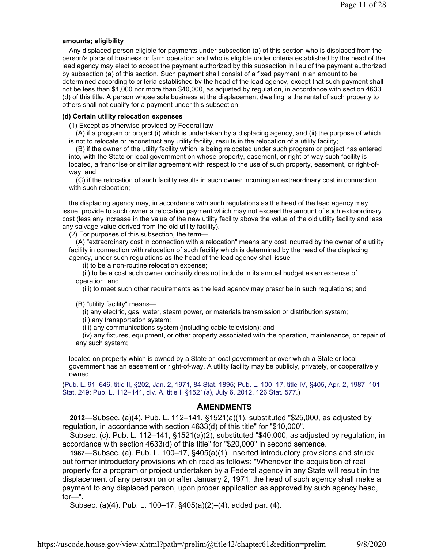#### **amounts; eligibility**

Any displaced person eligible for payments under subsection (a) of this section who is displaced from the person's place of business or farm operation and who is eligible under criteria established by the head of the lead agency may elect to accept the payment authorized by this subsection in lieu of the payment authorized by subsection (a) of this section. Such payment shall consist of a fixed payment in an amount to be determined according to criteria established by the head of the lead agency, except that such payment shall not be less than \$1,000 nor more than \$40,000, as adjusted by regulation, in accordance with section 4633 (d) of this title. A person whose sole business at the displacement dwelling is the rental of such property to others shall not qualify for a payment under this subsection.

#### **(d) Certain utility relocation expenses**

(1) Except as otherwise provided by Federal law—

(A) if a program or project (i) which is undertaken by a displacing agency, and (ii) the purpose of which is not to relocate or reconstruct any utility facility, results in the relocation of a utility facility;

(B) if the owner of the utility facility which is being relocated under such program or project has entered into, with the State or local government on whose property, easement, or right-of-way such facility is located, a franchise or similar agreement with respect to the use of such property, easement, or right-ofway; and

(C) if the relocation of such facility results in such owner incurring an extraordinary cost in connection with such relocation;

the displacing agency may, in accordance with such regulations as the head of the lead agency may issue, provide to such owner a relocation payment which may not exceed the amount of such extraordinary cost (less any increase in the value of the new utility facility above the value of the old utility facility and less any salvage value derived from the old utility facility).

(2) For purposes of this subsection, the term—

(A) "extraordinary cost in connection with a relocation" means any cost incurred by the owner of a utility facility in connection with relocation of such facility which is determined by the head of the displacing agency, under such regulations as the head of the lead agency shall issue—

(i) to be a non-routine relocation expense;

(ii) to be a cost such owner ordinarily does not include in its annual budget as an expense of operation; and

(iii) to meet such other requirements as the lead agency may prescribe in such regulations; and

(B) "utility facility" means—

(i) any electric, gas, water, steam power, or materials transmission or distribution system;

(ii) any transportation system;

(iii) any communications system (including cable television); and

(iv) any fixtures, equipment, or other property associated with the operation, maintenance, or repair of any such system;

located on property which is owned by a State or local government or over which a State or local government has an easement or right-of-way. A utility facility may be publicly, privately, or cooperatively owned.

(Pub. L. 91–646, title II, §202, Jan. 2, 1971, 84 Stat. 1895; Pub. L. 100–17, title IV, §405, Apr. 2, 1987, 101 Stat. 249; Pub. L. 112–141, div. A, title I, §1521(a), July 6, 2012, 126 Stat. 577.)

### **AMENDMENTS**

**2012**—Subsec. (a)(4). Pub. L. 112–141, §1521(a)(1), substituted "\$25,000, as adjusted by regulation, in accordance with section 4633(d) of this title" for "\$10,000".

Subsec. (c). Pub. L. 112–141, §1521(a)(2), substituted "\$40,000, as adjusted by regulation, in accordance with section 4633(d) of this title" for "\$20,000" in second sentence.

**1987**—Subsec. (a). Pub. L. 100–17, §405(a)(1), inserted introductory provisions and struck out former introductory provisions which read as follows: "Whenever the acquisition of real property for a program or project undertaken by a Federal agency in any State will result in the displacement of any person on or after January 2, 1971, the head of such agency shall make a payment to any displaced person, upon proper application as approved by such agency head, for—".

Subsec. (a)(4). Pub. L. 100–17, §405(a)(2)–(4), added par. (4).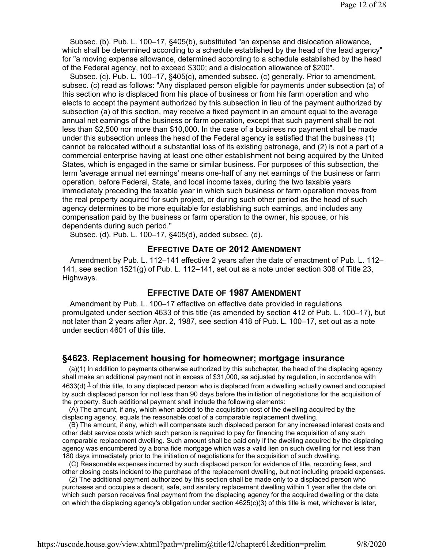Subsec. (b). Pub. L. 100–17, §405(b), substituted "an expense and dislocation allowance, which shall be determined according to a schedule established by the head of the lead agency" for "a moving expense allowance, determined according to a schedule established by the head of the Federal agency, not to exceed \$300; and a dislocation allowance of \$200".

Subsec. (c). Pub. L. 100–17, §405(c), amended subsec. (c) generally. Prior to amendment, subsec. (c) read as follows: "Any displaced person eligible for payments under subsection (a) of this section who is displaced from his place of business or from his farm operation and who elects to accept the payment authorized by this subsection in lieu of the payment authorized by subsection (a) of this section, may receive a fixed payment in an amount equal to the average annual net earnings of the business or farm operation, except that such payment shall be not less than \$2,500 nor more than \$10,000. In the case of a business no payment shall be made under this subsection unless the head of the Federal agency is satisfied that the business (1) cannot be relocated without a substantial loss of its existing patronage, and (2) is not a part of a commercial enterprise having at least one other establishment not being acquired by the United States, which is engaged in the same or similar business. For purposes of this subsection, the term 'average annual net earnings' means one-half of any net earnings of the business or farm operation, before Federal, State, and local income taxes, during the two taxable years immediately preceding the taxable year in which such business or farm operation moves from the real property acquired for such project, or during such other period as the head of such agency determines to be more equitable for establishing such earnings, and includes any compensation paid by the business or farm operation to the owner, his spouse, or his dependents during such period."

Subsec. (d). Pub. L. 100–17, §405(d), added subsec. (d).

# **EFFECTIVE DATE OF 2012 AMENDMENT**

Amendment by Pub. L. 112–141 effective 2 years after the date of enactment of Pub. L. 112– 141, see section 1521(g) of Pub. L. 112–141, set out as a note under section 308 of Title 23, Highways.

## **EFFECTIVE DATE OF 1987 AMENDMENT**

Amendment by Pub. L. 100–17 effective on effective date provided in regulations promulgated under section 4633 of this title (as amended by section 412 of Pub. L. 100–17), but not later than 2 years after Apr. 2, 1987, see section 418 of Pub. L. 100–17, set out as a note under section 4601 of this title.

## **§4623. Replacement housing for homeowner; mortgage insurance**

(a)(1) In addition to payments otherwise authorized by this subchapter, the head of the displacing agency shall make an additional payment not in excess of \$31,000, as adjusted by regulation, in accordance with 4633(d)  $^{\text{1}}$  of this title, to any displaced person who is displaced from a dwelling actually owned and occupied by such displaced person for not less than 90 days before the initiation of negotiations for the acquisition of the property. Such additional payment shall include the following elements:

(A) The amount, if any, which when added to the acquisition cost of the dwelling acquired by the displacing agency, equals the reasonable cost of a comparable replacement dwelling.

(B) The amount, if any, which will compensate such displaced person for any increased interest costs and other debt service costs which such person is required to pay for financing the acquisition of any such comparable replacement dwelling. Such amount shall be paid only if the dwelling acquired by the displacing agency was encumbered by a bona fide mortgage which was a valid lien on such dwelling for not less than 180 days immediately prior to the initiation of negotiations for the acquisition of such dwelling.

(C) Reasonable expenses incurred by such displaced person for evidence of title, recording fees, and other closing costs incident to the purchase of the replacement dwelling, but not including prepaid expenses.

(2) The additional payment authorized by this section shall be made only to a displaced person who purchases and occupies a decent, safe, and sanitary replacement dwelling within 1 year after the date on which such person receives final payment from the displacing agency for the acquired dwelling or the date on which the displacing agency's obligation under section 4625(c)(3) of this title is met, whichever is later,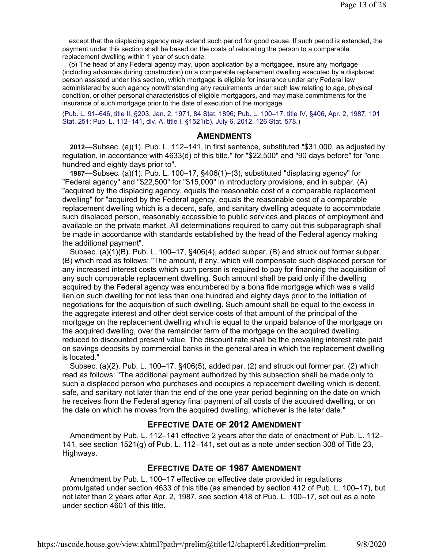except that the displacing agency may extend such period for good cause. If such period is extended, the payment under this section shall be based on the costs of relocating the person to a comparable replacement dwelling within 1 year of such date.

(b) The head of any Federal agency may, upon application by a mortgagee, insure any mortgage (including advances during construction) on a comparable replacement dwelling executed by a displaced person assisted under this section, which mortgage is eligible for insurance under any Federal law administered by such agency notwithstanding any requirements under such law relating to age, physical condition, or other personal characteristics of eligible mortgagors, and may make commitments for the insurance of such mortgage prior to the date of execution of the mortgage.

(Pub. L. 91–646, title II, §203, Jan. 2, 1971, 84 Stat. 1896; Pub. L. 100–17, title IV, §406, Apr. 2, 1987, 101 Stat. 251; Pub. L. 112–141, div. A, title I, §1521(b), July 6, 2012, 126 Stat. 578.)

#### **AMENDMENTS**

**2012**—Subsec. (a)(1). Pub. L. 112–141, in first sentence, substituted "\$31,000, as adjusted by regulation, in accordance with 4633(d) of this title," for "\$22,500" and "90 days before" for "one hundred and eighty days prior to".

**1987**—Subsec. (a)(1). Pub. L. 100–17, §406(1)–(3), substituted "displacing agency" for "Federal agency" and "\$22,500" for "\$15,000" in introductory provisions, and in subpar. (A) "acquired by the displacing agency, equals the reasonable cost of a comparable replacement dwelling" for "acquired by the Federal agency, equals the reasonable cost of a comparable replacement dwelling which is a decent, safe, and sanitary dwelling adequate to accommodate such displaced person, reasonably accessible to public services and places of employment and available on the private market. All determinations required to carry out this subparagraph shall be made in accordance with standards established by the head of the Federal agency making the additional payment".

Subsec. (a)(1)(B). Pub. L. 100–17, §406(4), added subpar. (B) and struck out former subpar. (B) which read as follows: "The amount, if any, which will compensate such displaced person for any increased interest costs which such person is required to pay for financing the acquisition of any such comparable replacement dwelling. Such amount shall be paid only if the dwelling acquired by the Federal agency was encumbered by a bona fide mortgage which was a valid lien on such dwelling for not less than one hundred and eighty days prior to the initiation of negotiations for the acquisition of such dwelling. Such amount shall be equal to the excess in the aggregate interest and other debt service costs of that amount of the principal of the mortgage on the replacement dwelling which is equal to the unpaid balance of the mortgage on the acquired dwelling, over the remainder term of the mortgage on the acquired dwelling, reduced to discounted present value. The discount rate shall be the prevailing interest rate paid on savings deposits by commercial banks in the general area in which the replacement dwelling is located."

Subsec. (a)(2). Pub. L. 100–17, §406(5), added par. (2) and struck out former par. (2) which read as follows: "The additional payment authorized by this subsection shall be made only to such a displaced person who purchases and occupies a replacement dwelling which is decent, safe, and sanitary not later than the end of the one year period beginning on the date on which he receives from the Federal agency final payment of all costs of the acquired dwelling, or on the date on which he moves from the acquired dwelling, whichever is the later date."

# **EFFECTIVE DATE OF 2012 AMENDMENT**

Amendment by Pub. L. 112–141 effective 2 years after the date of enactment of Pub. L. 112– 141, see section 1521(g) of Pub. L. 112–141, set out as a note under section 308 of Title 23, Highways.

## **EFFECTIVE DATE OF 1987 AMENDMENT**

Amendment by Pub. L. 100–17 effective on effective date provided in regulations promulgated under section 4633 of this title (as amended by section 412 of Pub. L. 100–17), but not later than 2 years after Apr. 2, 1987, see section 418 of Pub. L. 100–17, set out as a note under section 4601 of this title.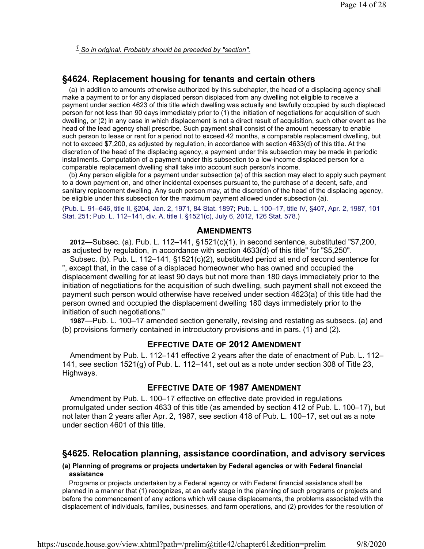*1 So in original. Probably should be preceded by "section".*

# **§4624. Replacement housing for tenants and certain others**

(a) In addition to amounts otherwise authorized by this subchapter, the head of a displacing agency shall make a payment to or for any displaced person displaced from any dwelling not eligible to receive a payment under section 4623 of this title which dwelling was actually and lawfully occupied by such displaced person for not less than 90 days immediately prior to (1) the initiation of negotiations for acquisition of such dwelling, or (2) in any case in which displacement is not a direct result of acquisition, such other event as the head of the lead agency shall prescribe. Such payment shall consist of the amount necessary to enable such person to lease or rent for a period not to exceed 42 months, a comparable replacement dwelling, but not to exceed \$7,200, as adjusted by regulation, in accordance with section 4633(d) of this title. At the discretion of the head of the displacing agency, a payment under this subsection may be made in periodic installments. Computation of a payment under this subsection to a low-income displaced person for a comparable replacement dwelling shall take into account such person's income.

(b) Any person eligible for a payment under subsection (a) of this section may elect to apply such payment to a down payment on, and other incidental expenses pursuant to, the purchase of a decent, safe, and sanitary replacement dwelling. Any such person may, at the discretion of the head of the displacing agency, be eligible under this subsection for the maximum payment allowed under subsection (a).

(Pub. L. 91–646, title II, §204, Jan. 2, 1971, 84 Stat. 1897; Pub. L. 100–17, title IV, §407, Apr. 2, 1987, 101 Stat. 251; Pub. L. 112–141, div. A, title I, §1521(c), July 6, 2012, 126 Stat. 578.)

### **AMENDMENTS**

**2012**—Subsec. (a). Pub. L. 112–141, §1521(c)(1), in second sentence, substituted "\$7,200, as adjusted by regulation, in accordance with section 4633(d) of this title" for "\$5,250".

Subsec. (b). Pub. L. 112–141, §1521(c)(2), substituted period at end of second sentence for ", except that, in the case of a displaced homeowner who has owned and occupied the displacement dwelling for at least 90 days but not more than 180 days immediately prior to the initiation of negotiations for the acquisition of such dwelling, such payment shall not exceed the payment such person would otherwise have received under section 4623(a) of this title had the person owned and occupied the displacement dwelling 180 days immediately prior to the initiation of such negotiations."

**1987**—Pub. L. 100–17 amended section generally, revising and restating as subsecs. (a) and (b) provisions formerly contained in introductory provisions and in pars. (1) and (2).

# **EFFECTIVE DATE OF 2012 AMENDMENT**

Amendment by Pub. L. 112–141 effective 2 years after the date of enactment of Pub. L. 112– 141, see section 1521(g) of Pub. L. 112–141, set out as a note under section 308 of Title 23, Highways.

## **EFFECTIVE DATE OF 1987 AMENDMENT**

Amendment by Pub. L. 100–17 effective on effective date provided in regulations promulgated under section 4633 of this title (as amended by section 412 of Pub. L. 100–17), but not later than 2 years after Apr. 2, 1987, see section 418 of Pub. L. 100–17, set out as a note under section 4601 of this title.

# **§4625. Relocation planning, assistance coordination, and advisory services**

#### **(a) Planning of programs or projects undertaken by Federal agencies or with Federal financial assistance**

Programs or projects undertaken by a Federal agency or with Federal financial assistance shall be planned in a manner that (1) recognizes, at an early stage in the planning of such programs or projects and before the commencement of any actions which will cause displacements, the problems associated with the displacement of individuals, families, businesses, and farm operations, and (2) provides for the resolution of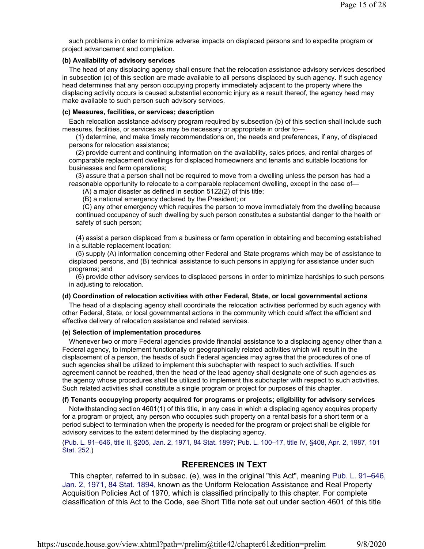such problems in order to minimize adverse impacts on displaced persons and to expedite program or project advancement and completion.

#### **(b) Availability of advisory services**

The head of any displacing agency shall ensure that the relocation assistance advisory services described in subsection (c) of this section are made available to all persons displaced by such agency. If such agency head determines that any person occupying property immediately adjacent to the property where the displacing activity occurs is caused substantial economic injury as a result thereof, the agency head may make available to such person such advisory services.

#### **(c) Measures, facilities, or services; description**

Each relocation assistance advisory program required by subsection (b) of this section shall include such measures, facilities, or services as may be necessary or appropriate in order to—

(1) determine, and make timely recommendations on, the needs and preferences, if any, of displaced persons for relocation assistance;

(2) provide current and continuing information on the availability, sales prices, and rental charges of comparable replacement dwellings for displaced homeowners and tenants and suitable locations for businesses and farm operations;

(3) assure that a person shall not be required to move from a dwelling unless the person has had a reasonable opportunity to relocate to a comparable replacement dwelling, except in the case of—

(A) a major disaster as defined in section 5122(2) of this title;

(B) a national emergency declared by the President; or

(C) any other emergency which requires the person to move immediately from the dwelling because continued occupancy of such dwelling by such person constitutes a substantial danger to the health or safety of such person;

(4) assist a person displaced from a business or farm operation in obtaining and becoming established in a suitable replacement location;

(5) supply (A) information concerning other Federal and State programs which may be of assistance to displaced persons, and (B) technical assistance to such persons in applying for assistance under such programs; and

(6) provide other advisory services to displaced persons in order to minimize hardships to such persons in adjusting to relocation.

#### **(d) Coordination of relocation activities with other Federal, State, or local governmental actions**

The head of a displacing agency shall coordinate the relocation activities performed by such agency with other Federal, State, or local governmental actions in the community which could affect the efficient and effective delivery of relocation assistance and related services.

#### **(e) Selection of implementation procedures**

Whenever two or more Federal agencies provide financial assistance to a displacing agency other than a Federal agency, to implement functionally or geographically related activities which will result in the displacement of a person, the heads of such Federal agencies may agree that the procedures of one of such agencies shall be utilized to implement this subchapter with respect to such activities. If such agreement cannot be reached, then the head of the lead agency shall designate one of such agencies as the agency whose procedures shall be utilized to implement this subchapter with respect to such activities. Such related activities shall constitute a single program or project for purposes of this chapter.

#### **(f) Tenants occupying property acquired for programs or projects; eligibility for advisory services**

Notwithstanding section 4601(1) of this title, in any case in which a displacing agency acquires property for a program or project, any person who occupies such property on a rental basis for a short term or a period subject to termination when the property is needed for the program or project shall be eligible for advisory services to the extent determined by the displacing agency.

#### (Pub. L. 91–646, title II, §205, Jan. 2, 1971, 84 Stat. 1897; Pub. L. 100–17, title IV, §408, Apr. 2, 1987, 101 Stat. 252.)

# **REFERENCES IN TEXT**

This chapter, referred to in subsec. (e), was in the original "this Act", meaning Pub. L. 91–646, Jan. 2, 1971, 84 Stat. 1894, known as the Uniform Relocation Assistance and Real Property Acquisition Policies Act of 1970, which is classified principally to this chapter. For complete classification of this Act to the Code, see Short Title note set out under section 4601 of this title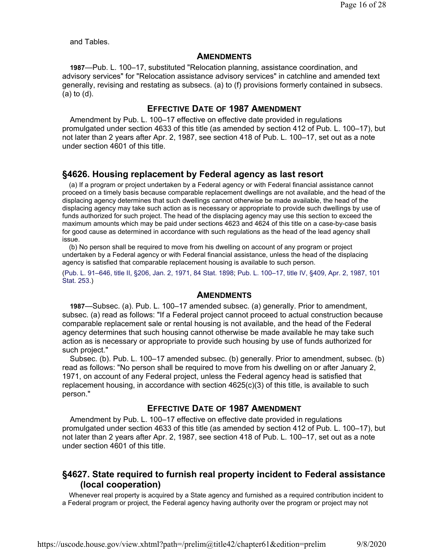and Tables.

### **AMENDMENTS**

**1987**—Pub. L. 100–17, substituted "Relocation planning, assistance coordination, and advisory services" for "Relocation assistance advisory services" in catchline and amended text generally, revising and restating as subsecs. (a) to (f) provisions formerly contained in subsecs. (a) to (d).

# **EFFECTIVE DATE OF 1987 AMENDMENT**

Amendment by Pub. L. 100–17 effective on effective date provided in regulations promulgated under section 4633 of this title (as amended by section 412 of Pub. L. 100–17), but not later than 2 years after Apr. 2, 1987, see section 418 of Pub. L. 100–17, set out as a note under section 4601 of this title.

# **§4626. Housing replacement by Federal agency as last resort**

(a) If a program or project undertaken by a Federal agency or with Federal financial assistance cannot proceed on a timely basis because comparable replacement dwellings are not available, and the head of the displacing agency determines that such dwellings cannot otherwise be made available, the head of the displacing agency may take such action as is necessary or appropriate to provide such dwellings by use of funds authorized for such project. The head of the displacing agency may use this section to exceed the maximum amounts which may be paid under sections 4623 and 4624 of this title on a case-by-case basis for good cause as determined in accordance with such regulations as the head of the lead agency shall issue.

(b) No person shall be required to move from his dwelling on account of any program or project undertaken by a Federal agency or with Federal financial assistance, unless the head of the displacing agency is satisfied that comparable replacement housing is available to such person.

(Pub. L. 91–646, title II, §206, Jan. 2, 1971, 84 Stat. 1898; Pub. L. 100–17, title IV, §409, Apr. 2, 1987, 101 Stat. 253.)

### **AMENDMENTS**

**1987**—Subsec. (a). Pub. L. 100–17 amended subsec. (a) generally. Prior to amendment, subsec. (a) read as follows: "If a Federal project cannot proceed to actual construction because comparable replacement sale or rental housing is not available, and the head of the Federal agency determines that such housing cannot otherwise be made available he may take such action as is necessary or appropriate to provide such housing by use of funds authorized for such project."

Subsec. (b). Pub. L. 100–17 amended subsec. (b) generally. Prior to amendment, subsec. (b) read as follows: "No person shall be required to move from his dwelling on or after January 2, 1971, on account of any Federal project, unless the Federal agency head is satisfied that replacement housing, in accordance with section 4625(c)(3) of this title, is available to such person."

# **EFFECTIVE DATE OF 1987 AMENDMENT**

Amendment by Pub. L. 100–17 effective on effective date provided in regulations promulgated under section 4633 of this title (as amended by section 412 of Pub. L. 100–17), but not later than 2 years after Apr. 2, 1987, see section 418 of Pub. L. 100–17, set out as a note under section 4601 of this title.

# **§4627. State required to furnish real property incident to Federal assistance (local cooperation)**

Whenever real property is acquired by a State agency and furnished as a required contribution incident to a Federal program or project, the Federal agency having authority over the program or project may not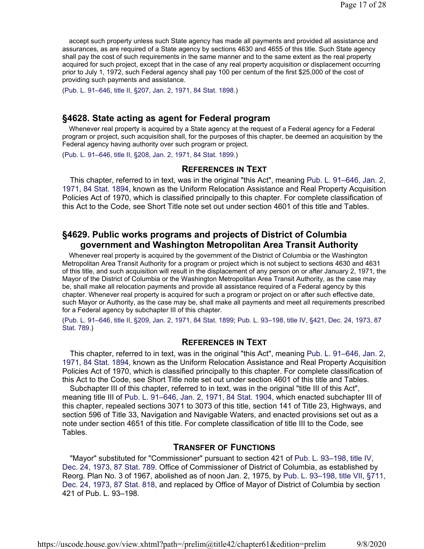accept such property unless such State agency has made all payments and provided all assistance and assurances, as are required of a State agency by sections 4630 and 4655 of this title. Such State agency shall pay the cost of such requirements in the same manner and to the same extent as the real property acquired for such project, except that in the case of any real property acquisition or displacement occurring prior to July 1, 1972, such Federal agency shall pay 100 per centum of the first \$25,000 of the cost of providing such payments and assistance.

(Pub. L. 91–646, title II, §207, Jan. 2, 1971, 84 Stat. 1898.)

# **§4628. State acting as agent for Federal program**

Whenever real property is acquired by a State agency at the request of a Federal agency for a Federal program or project, such acquisition shall, for the purposes of this chapter, be deemed an acquisition by the Federal agency having authority over such program or project.

(Pub. L. 91–646, title II, §208, Jan. 2, 1971, 84 Stat. 1899.)

## **REFERENCES IN TEXT**

This chapter, referred to in text, was in the original "this Act", meaning Pub. L. 91–646, Jan. 2, 1971, 84 Stat. 1894, known as the Uniform Relocation Assistance and Real Property Acquisition Policies Act of 1970, which is classified principally to this chapter. For complete classification of this Act to the Code, see Short Title note set out under section 4601 of this title and Tables.

# **§4629. Public works programs and projects of District of Columbia government and Washington Metropolitan Area Transit Authority**

Whenever real property is acquired by the government of the District of Columbia or the Washington Metropolitan Area Transit Authority for a program or project which is not subject to sections 4630 and 4631 of this title, and such acquisition will result in the displacement of any person on or after January 2, 1971, the Mayor of the District of Columbia or the Washington Metropolitan Area Transit Authority, as the case may be, shall make all relocation payments and provide all assistance required of a Federal agency by this chapter. Whenever real property is acquired for such a program or project on or after such effective date, such Mayor or Authority, as the case may be, shall make all payments and meet all requirements prescribed for a Federal agency by subchapter III of this chapter.

(Pub. L. 91–646, title II, §209, Jan. 2, 1971, 84 Stat. 1899; Pub. L. 93–198, title IV, §421, Dec. 24, 1973, 87 Stat. 789.)

## **REFERENCES IN TEXT**

This chapter, referred to in text, was in the original "this Act", meaning Pub. L. 91–646, Jan. 2, 1971, 84 Stat. 1894, known as the Uniform Relocation Assistance and Real Property Acquisition Policies Act of 1970, which is classified principally to this chapter. For complete classification of this Act to the Code, see Short Title note set out under section 4601 of this title and Tables.

Subchapter III of this chapter, referred to in text, was in the original "title III of this Act", meaning title III of Pub. L. 91–646, Jan. 2, 1971, 84 Stat. 1904, which enacted subchapter III of this chapter, repealed sections 3071 to 3073 of this title, section 141 of Title 23, Highways, and section 596 of Title 33, Navigation and Navigable Waters, and enacted provisions set out as a note under section 4651 of this title. For complete classification of title III to the Code, see Tables.

## **TRANSFER OF FUNCTIONS**

"Mayor" substituted for "Commissioner" pursuant to section 421 of Pub. L. 93–198, title IV, Dec. 24, 1973, 87 Stat. 789. Office of Commissioner of District of Columbia, as established by Reorg. Plan No. 3 of 1967, abolished as of noon Jan. 2, 1975, by Pub. L. 93–198, title VII, §711, Dec. 24, 1973, 87 Stat. 818, and replaced by Office of Mayor of District of Columbia by section 421 of Pub. L. 93–198.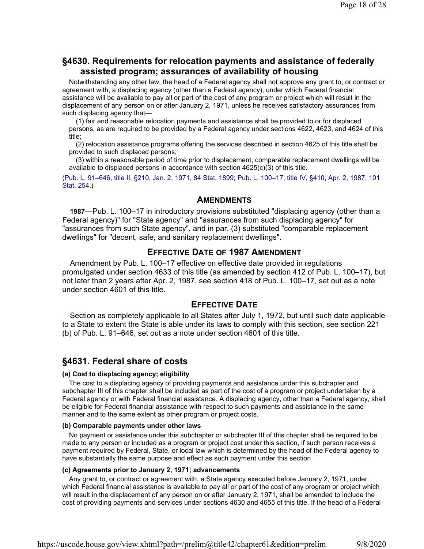# **§4630. Requirements for relocation payments and assistance of federally assisted program; assurances of availability of housing**

Notwithstanding any other law, the head of a Federal agency shall not approve any grant to, or contract or agreement with, a displacing agency (other than a Federal agency), under which Federal financial assistance will be available to pay all or part of the cost of any program or project which will result in the displacement of any person on or after January 2, 1971, unless he receives satisfactory assurances from such displacing agency that—

(1) fair and reasonable relocation payments and assistance shall be provided to or for displaced persons, as are required to be provided by a Federal agency under sections 4622, 4623, and 4624 of this title;

(2) relocation assistance programs offering the services described in section 4625 of this title shall be provided to such displaced persons;

(3) within a reasonable period of time prior to displacement, comparable replacement dwellings will be available to displaced persons in accordance with section 4625(c)(3) of this title.

(Pub. L. 91–646, title II, §210, Jan. 2, 1971, 84 Stat. 1899; Pub. L. 100–17, title IV, §410, Apr. 2, 1987, 101 Stat. 254.)

### **AMENDMENTS**

**1987**—Pub. L. 100–17 in introductory provisions substituted "displacing agency (other than a Federal agency)" for "State agency" and "assurances from such displacing agency" for "assurances from such State agency", and in par. (3) substituted "comparable replacement dwellings" for "decent, safe, and sanitary replacement dwellings".

# **EFFECTIVE DATE OF 1987 AMENDMENT**

Amendment by Pub. L. 100–17 effective on effective date provided in regulations promulgated under section 4633 of this title (as amended by section 412 of Pub. L. 100–17), but not later than 2 years after Apr. 2, 1987, see section 418 of Pub. L. 100–17, set out as a note under section 4601 of this title.

### **EFFECTIVE DATE**

Section as completely applicable to all States after July 1, 1972, but until such date applicable to a State to extent the State is able under its laws to comply with this section, see section 221 (b) of Pub. L. 91–646, set out as a note under section 4601 of this title.

# **§4631. Federal share of costs**

#### **(a) Cost to displacing agency; eligibility**

The cost to a displacing agency of providing payments and assistance under this subchapter and subchapter III of this chapter shall be included as part of the cost of a program or project undertaken by a Federal agency or with Federal financial assistance. A displacing agency, other than a Federal agency, shall be eligible for Federal financial assistance with respect to such payments and assistance in the same manner and to the same extent as other program or project costs.

#### **(b) Comparable payments under other laws**

No payment or assistance under this subchapter or subchapter III of this chapter shall be required to be made to any person or included as a program or project cost under this section, if such person receives a payment required by Federal, State, or local law which is determined by the head of the Federal agency to have substantially the same purpose and effect as such payment under this section.

#### **(c) Agreements prior to January 2, 1971; advancements**

Any grant to, or contract or agreement with, a State agency executed before January 2, 1971, under which Federal financial assistance is available to pay all or part of the cost of any program or project which will result in the displacement of any person on or after January 2, 1971, shall be amended to include the cost of providing payments and services under sections 4630 and 4655 of this title. If the head of a Federal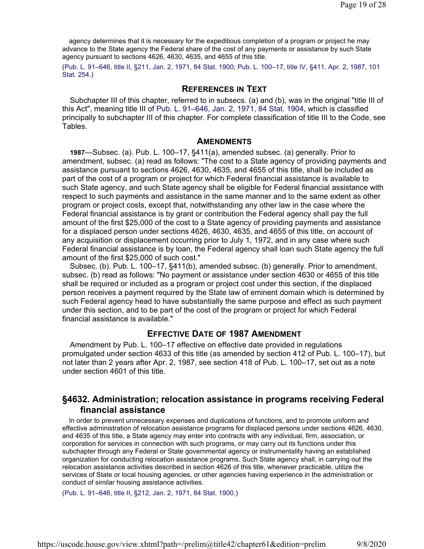agency determines that it is necessary for the expeditious completion of a program or project he may advance to the State agency the Federal share of the cost of any payments or assistance by such State agency pursuant to sections 4626, 4630, 4635, and 4655 of this title.

(Pub. L. 91–646, title II, §211, Jan. 2, 1971, 84 Stat. 1900; Pub. L. 100–17, title IV, §411, Apr. 2, 1987, 101 Stat. 254.)

### **REFERENCES IN TEXT**

Subchapter III of this chapter, referred to in subsecs. (a) and (b), was in the original "title III of this Act", meaning title III of Pub. L. 91–646, Jan. 2, 1971, 84 Stat. 1904, which is classified principally to subchapter III of this chapter. For complete classification of title III to the Code, see Tables.

#### **AMENDMENTS**

**1987**—Subsec. (a). Pub. L. 100–17, §411(a), amended subsec. (a) generally. Prior to amendment, subsec. (a) read as follows: "The cost to a State agency of providing payments and assistance pursuant to sections 4626, 4630, 4635, and 4655 of this title, shall be included as part of the cost of a program or project for which Federal financial assistance is available to such State agency, and such State agency shall be eligible for Federal financial assistance with respect to such payments and assistance in the same manner and to the same extent as other program or project costs, except that, notwithstanding any other law in the case where the Federal financial assistance is by grant or contribution the Federal agency shall pay the full amount of the first \$25,000 of the cost to a State agency of providing payments and assistance for a displaced person under sections 4626, 4630, 4635, and 4655 of this title, on account of any acquisition or displacement occurring prior to July 1, 1972, and in any case where such Federal financial assistance is by loan, the Federal agency shall loan such State agency the full amount of the first \$25,000 of such cost."

Subsec. (b). Pub. L. 100–17, §411(b), amended subsec. (b) generally. Prior to amendment, subsec. (b) read as follows: "No payment or assistance under section 4630 or 4655 of this title shall be required or included as a program or project cost under this section, if the displaced person receives a payment required by the State law of eminent domain which is determined by such Federal agency head to have substantially the same purpose and effect as such payment under this section, and to be part of the cost of the program or project for which Federal financial assistance is available."

## **EFFECTIVE DATE OF 1987 AMENDMENT**

Amendment by Pub. L. 100–17 effective on effective date provided in regulations promulgated under section 4633 of this title (as amended by section 412 of Pub. L. 100–17), but not later than 2 years after Apr. 2, 1987, see section 418 of Pub. L. 100–17, set out as a note under section 4601 of this title.

# **§4632. Administration; relocation assistance in programs receiving Federal financial assistance**

In order to prevent unnecessary expenses and duplications of functions, and to promote uniform and effective administration of relocation assistance programs for displaced persons under sections 4626, 4630, and 4635 of this title, a State agency may enter into contracts with any individual, firm, association, or corporation for services in connection with such programs, or may carry out its functions under this subchapter through any Federal or State governmental agency or instrumentality having an established organization for conducting relocation assistance programs. Such State agency shall, in carrying out the relocation assistance activities described in section 4626 of this title, whenever practicable, utilize the services of State or local housing agencies, or other agencies having experience in the administration or conduct of similar housing assistance activities.

(Pub. L. 91–646, title II, §212, Jan. 2, 1971, 84 Stat. 1900.)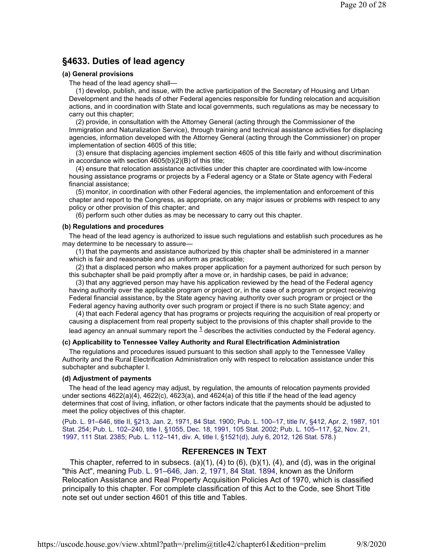# **§4633. Duties of lead agency**

#### **(a) General provisions**

The head of the lead agency shall—

(1) develop, publish, and issue, with the active participation of the Secretary of Housing and Urban Development and the heads of other Federal agencies responsible for funding relocation and acquisition actions, and in coordination with State and local governments, such regulations as may be necessary to carry out this chapter;

(2) provide, in consultation with the Attorney General (acting through the Commissioner of the Immigration and Naturalization Service), through training and technical assistance activities for displacing agencies, information developed with the Attorney General (acting through the Commissioner) on proper implementation of section 4605 of this title;

(3) ensure that displacing agencies implement section 4605 of this title fairly and without discrimination in accordance with section 4605(b)(2)(B) of this title;

(4) ensure that relocation assistance activities under this chapter are coordinated with low-income housing assistance programs or projects by a Federal agency or a State or State agency with Federal financial assistance;

(5) monitor, in coordination with other Federal agencies, the implementation and enforcement of this chapter and report to the Congress, as appropriate, on any major issues or problems with respect to any policy or other provision of this chapter; and

(6) perform such other duties as may be necessary to carry out this chapter.

#### **(b) Regulations and procedures**

The head of the lead agency is authorized to issue such regulations and establish such procedures as he may determine to be necessary to assure—

(1) that the payments and assistance authorized by this chapter shall be administered in a manner which is fair and reasonable and as uniform as practicable;

(2) that a displaced person who makes proper application for a payment authorized for such person by this subchapter shall be paid promptly after a move or, in hardship cases, be paid in advance;

(3) that any aggrieved person may have his application reviewed by the head of the Federal agency having authority over the applicable program or project or, in the case of a program or project receiving Federal financial assistance, by the State agency having authority over such program or project or the Federal agency having authority over such program or project if there is no such State agency; and

(4) that each Federal agency that has programs or projects requiring the acquisition of real property or causing a displacement from real property subject to the provisions of this chapter shall provide to the lead agency an annual summary report the  ${}^{1}$  describes the activities conducted by the Federal agency.

#### **(c) Applicability to Tennessee Valley Authority and Rural Electrification Administration**

The regulations and procedures issued pursuant to this section shall apply to the Tennessee Valley Authority and the Rural Electrification Administration only with respect to relocation assistance under this subchapter and subchapter I.

#### **(d) Adjustment of payments**

The head of the lead agency may adjust, by regulation, the amounts of relocation payments provided under sections 4622(a)(4), 4622(c), 4623(a), and 4624(a) of this title if the head of the lead agency determines that cost of living, inflation, or other factors indicate that the payments should be adjusted to meet the policy objectives of this chapter.

(Pub. L. 91–646, title II, §213, Jan. 2, 1971, 84 Stat. 1900; Pub. L. 100–17, title IV, §412, Apr. 2, 1987, 101 Stat. 254; Pub. L. 102–240, title I, §1055, Dec. 18, 1991, 105 Stat. 2002; Pub. L. 105–117, §2, Nov. 21, 1997, 111 Stat. 2385; Pub. L. 112–141, div. A, title I, §1521(d), July 6, 2012, 126 Stat. 578.)

## **REFERENCES IN TEXT**

This chapter, referred to in subsecs. (a)(1), (4) to (6), (b)(1), (4), and (d), was in the original "this Act", meaning Pub. L. 91–646, Jan. 2, 1971, 84 Stat. 1894, known as the Uniform Relocation Assistance and Real Property Acquisition Policies Act of 1970, which is classified principally to this chapter. For complete classification of this Act to the Code, see Short Title note set out under section 4601 of this title and Tables.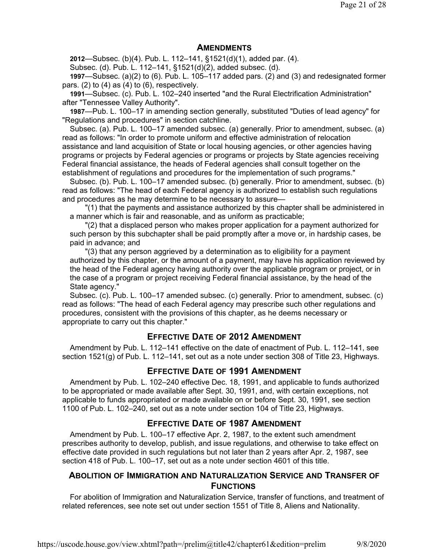## **AMENDMENTS**

**2012**—Subsec. (b)(4). Pub. L. 112–141, §1521(d)(1), added par. (4).

Subsec. (d). Pub. L. 112–141, §1521(d)(2), added subsec. (d).

**1997**—Subsec. (a)(2) to (6). Pub. L. 105–117 added pars. (2) and (3) and redesignated former pars.  $(2)$  to  $(4)$  as  $(4)$  to  $(6)$ , respectively.

**1991**—Subsec. (c). Pub. L. 102–240 inserted "and the Rural Electrification Administration" after "Tennessee Valley Authority".

**1987**—Pub. L. 100–17 in amending section generally, substituted "Duties of lead agency" for "Regulations and procedures" in section catchline.

Subsec. (a). Pub. L. 100–17 amended subsec. (a) generally. Prior to amendment, subsec. (a) read as follows: "In order to promote uniform and effective administration of relocation assistance and land acquisition of State or local housing agencies, or other agencies having programs or projects by Federal agencies or programs or projects by State agencies receiving Federal financial assistance, the heads of Federal agencies shall consult together on the establishment of regulations and procedures for the implementation of such programs."

Subsec. (b). Pub. L. 100–17 amended subsec. (b) generally. Prior to amendment, subsec. (b) read as follows: "The head of each Federal agency is authorized to establish such regulations and procedures as he may determine to be necessary to assure—

"(1) that the payments and assistance authorized by this chapter shall be administered in a manner which is fair and reasonable, and as uniform as practicable;

"(2) that a displaced person who makes proper application for a payment authorized for such person by this subchapter shall be paid promptly after a move or, in hardship cases, be paid in advance; and

"(3) that any person aggrieved by a determination as to eligibility for a payment authorized by this chapter, or the amount of a payment, may have his application reviewed by the head of the Federal agency having authority over the applicable program or project, or in the case of a program or project receiving Federal financial assistance, by the head of the State agency."

Subsec. (c). Pub. L. 100–17 amended subsec. (c) generally. Prior to amendment, subsec. (c) read as follows: "The head of each Federal agency may prescribe such other regulations and procedures, consistent with the provisions of this chapter, as he deems necessary or appropriate to carry out this chapter."

# **EFFECTIVE DATE OF 2012 AMENDMENT**

Amendment by Pub. L. 112–141 effective on the date of enactment of Pub. L. 112–141, see section 1521(g) of Pub. L. 112–141, set out as a note under section 308 of Title 23, Highways.

# **EFFECTIVE DATE OF 1991 AMENDMENT**

Amendment by Pub. L. 102–240 effective Dec. 18, 1991, and applicable to funds authorized to be appropriated or made available after Sept. 30, 1991, and, with certain exceptions, not applicable to funds appropriated or made available on or before Sept. 30, 1991, see section 1100 of Pub. L. 102–240, set out as a note under section 104 of Title 23, Highways.

# **EFFECTIVE DATE OF 1987 AMENDMENT**

Amendment by Pub. L. 100–17 effective Apr. 2, 1987, to the extent such amendment prescribes authority to develop, publish, and issue regulations, and otherwise to take effect on effective date provided in such regulations but not later than 2 years after Apr. 2, 1987, see section 418 of Pub. L. 100–17, set out as a note under section 4601 of this title.

# **ABOLITION OF IMMIGRATION AND NATURALIZATION SERVICE AND TRANSFER OF FUNCTIONS**

For abolition of Immigration and Naturalization Service, transfer of functions, and treatment of related references, see note set out under section 1551 of Title 8, Aliens and Nationality.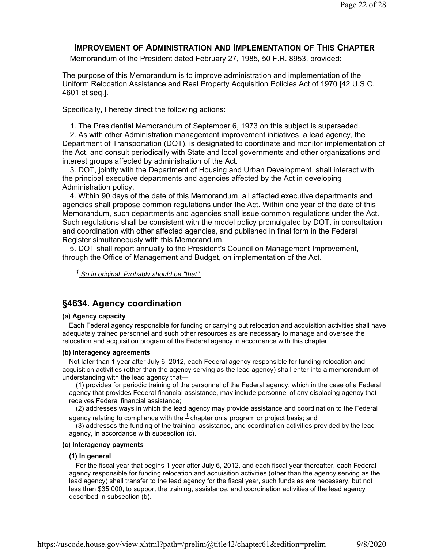# **IMPROVEMENT OF ADMINISTRATION AND IMPLEMENTATION OF THIS CHAPTER**

Memorandum of the President dated February 27, 1985, 50 F.R. 8953, provided:

The purpose of this Memorandum is to improve administration and implementation of the Uniform Relocation Assistance and Real Property Acquisition Policies Act of 1970 [42 U.S.C. 4601 et seq.].

Specifically, I hereby direct the following actions:

1. The Presidential Memorandum of September 6, 1973 on this subject is superseded.

2. As with other Administration management improvement initiatives, a lead agency, the Department of Transportation (DOT), is designated to coordinate and monitor implementation of the Act, and consult periodically with State and local governments and other organizations and interest groups affected by administration of the Act.

3. DOT, jointly with the Department of Housing and Urban Development, shall interact with the principal executive departments and agencies affected by the Act in developing Administration policy.

4. Within 90 days of the date of this Memorandum, all affected executive departments and agencies shall propose common regulations under the Act. Within one year of the date of this Memorandum, such departments and agencies shall issue common regulations under the Act. Such regulations shall be consistent with the model policy promulgated by DOT, in consultation and coordination with other affected agencies, and published in final form in the Federal Register simultaneously with this Memorandum.

5. DOT shall report annually to the President's Council on Management Improvement, through the Office of Management and Budget, on implementation of the Act.

*1 So in original. Probably should be "that".*

# **§4634. Agency coordination**

### **(a) Agency capacity**

Each Federal agency responsible for funding or carrying out relocation and acquisition activities shall have adequately trained personnel and such other resources as are necessary to manage and oversee the relocation and acquisition program of the Federal agency in accordance with this chapter.

### **(b) Interagency agreements**

Not later than 1 year after July 6, 2012, each Federal agency responsible for funding relocation and acquisition activities (other than the agency serving as the lead agency) shall enter into a memorandum of understanding with the lead agency that—

(1) provides for periodic training of the personnel of the Federal agency, which in the case of a Federal agency that provides Federal financial assistance, may include personnel of any displacing agency that receives Federal financial assistance;

(2) addresses ways in which the lead agency may provide assistance and coordination to the Federal agency relating to compliance with the  $\frac{1}{2}$  chapter on a program or project basis; and

(3) addresses the funding of the training, assistance, and coordination activities provided by the lead agency, in accordance with subsection (c).

#### **(c) Interagency payments**

#### **(1) In general**

For the fiscal year that begins 1 year after July 6, 2012, and each fiscal year thereafter, each Federal agency responsible for funding relocation and acquisition activities (other than the agency serving as the lead agency) shall transfer to the lead agency for the fiscal year, such funds as are necessary, but not less than \$35,000, to support the training, assistance, and coordination activities of the lead agency described in subsection (b).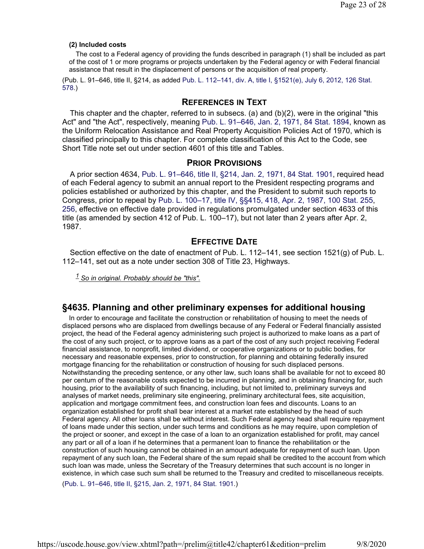#### **(2) Included costs**

The cost to a Federal agency of providing the funds described in paragraph (1) shall be included as part of the cost of 1 or more programs or projects undertaken by the Federal agency or with Federal financial assistance that result in the displacement of persons or the acquisition of real property.

(Pub. L. 91–646, title II, §214, as added Pub. L. 112–141, div. A, title I, §1521(e), July 6, 2012, 126 Stat. 578.)

### **REFERENCES IN TEXT**

This chapter and the chapter, referred to in subsecs. (a) and  $(b)(2)$ , were in the original "this Act" and "the Act", respectively, meaning Pub. L. 91–646, Jan. 2, 1971, 84 Stat. 1894, known as the Uniform Relocation Assistance and Real Property Acquisition Policies Act of 1970, which is classified principally to this chapter. For complete classification of this Act to the Code, see Short Title note set out under section 4601 of this title and Tables.

#### **PRIOR PROVISIONS**

A prior section 4634, Pub. L. 91–646, title II, §214, Jan. 2, 1971, 84 Stat. 1901, required head of each Federal agency to submit an annual report to the President respecting programs and policies established or authorized by this chapter, and the President to submit such reports to Congress, prior to repeal by Pub. L. 100–17, title IV, §§415, 418, Apr. 2, 1987, 100 Stat. 255, 256, effective on effective date provided in regulations promulgated under section 4633 of this title (as amended by section 412 of Pub. L. 100–17), but not later than 2 years after Apr. 2, 1987.

# **EFFECTIVE DATE**

Section effective on the date of enactment of Pub. L. 112–141, see section 1521(g) of Pub. L. 112–141, set out as a note under section 308 of Title 23, Highways.

*1 So in original. Probably should be "this".*

### **§4635. Planning and other preliminary expenses for additional housing**

In order to encourage and facilitate the construction or rehabilitation of housing to meet the needs of displaced persons who are displaced from dwellings because of any Federal or Federal financially assisted project, the head of the Federal agency administering such project is authorized to make loans as a part of the cost of any such project, or to approve loans as a part of the cost of any such project receiving Federal financial assistance, to nonprofit, limited dividend, or cooperative organizations or to public bodies, for necessary and reasonable expenses, prior to construction, for planning and obtaining federally insured mortgage financing for the rehabilitation or construction of housing for such displaced persons. Notwithstanding the preceding sentence, or any other law, such loans shall be available for not to exceed 80 per centum of the reasonable costs expected to be incurred in planning, and in obtaining financing for, such housing, prior to the availability of such financing, including, but not limited to, preliminary surveys and analyses of market needs, preliminary site engineering, preliminary architectural fees, site acquisition, application and mortgage commitment fees, and construction loan fees and discounts. Loans to an organization established for profit shall bear interest at a market rate established by the head of such Federal agency. All other loans shall be without interest. Such Federal agency head shall require repayment of loans made under this section, under such terms and conditions as he may require, upon completion of the project or sooner, and except in the case of a loan to an organization established for profit, may cancel any part or all of a loan if he determines that a permanent loan to finance the rehabilitation or the construction of such housing cannot be obtained in an amount adequate for repayment of such loan. Upon repayment of any such loan, the Federal share of the sum repaid shall be credited to the account from which such loan was made, unless the Secretary of the Treasury determines that such account is no longer in existence, in which case such sum shall be returned to the Treasury and credited to miscellaneous receipts.

(Pub. L. 91–646, title II, §215, Jan. 2, 1971, 84 Stat. 1901.)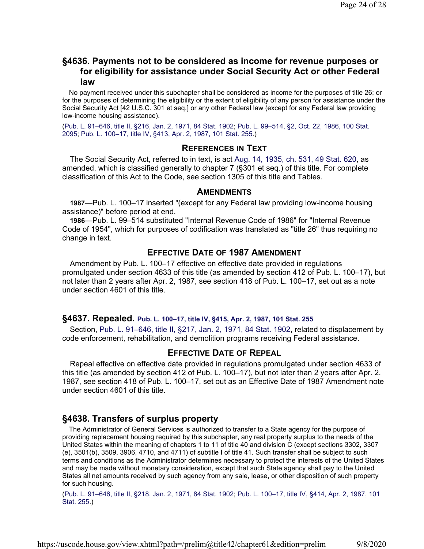# **§4636. Payments not to be considered as income for revenue purposes or for eligibility for assistance under Social Security Act or other Federal law**

No payment received under this subchapter shall be considered as income for the purposes of title 26; or for the purposes of determining the eligibility or the extent of eligibility of any person for assistance under the Social Security Act [42 U.S.C. 301 et seq.] or any other Federal law (except for any Federal law providing low-income housing assistance).

(Pub. L. 91–646, title II, §216, Jan. 2, 1971, 84 Stat. 1902; Pub. L. 99–514, §2, Oct. 22, 1986, 100 Stat. 2095; Pub. L. 100–17, title IV, §413, Apr. 2, 1987, 101 Stat. 255.)

## **REFERENCES IN TEXT**

The Social Security Act, referred to in text, is act Aug. 14, 1935, ch. 531, 49 Stat. 620, as amended, which is classified generally to chapter 7 (§301 et seq.) of this title. For complete classification of this Act to the Code, see section 1305 of this title and Tables.

### **AMENDMENTS**

**1987**—Pub. L. 100–17 inserted "(except for any Federal law providing low-income housing assistance)" before period at end.

**1986**—Pub. L. 99–514 substituted "Internal Revenue Code of 1986" for "Internal Revenue Code of 1954", which for purposes of codification was translated as "title 26" thus requiring no change in text.

# **EFFECTIVE DATE OF 1987 AMENDMENT**

Amendment by Pub. L. 100–17 effective on effective date provided in regulations promulgated under section 4633 of this title (as amended by section 412 of Pub. L. 100–17), but not later than 2 years after Apr. 2, 1987, see section 418 of Pub. L. 100–17, set out as a note under section 4601 of this title.

#### **§4637. Repealed. Pub. L. 100–17, title IV, §415, Apr. 2, 1987, 101 Stat. 255**

Section, Pub. L. 91–646, title II, §217, Jan. 2, 1971, 84 Stat. 1902, related to displacement by code enforcement, rehabilitation, and demolition programs receiving Federal assistance.

### **EFFECTIVE DATE OF REPEAL**

Repeal effective on effective date provided in regulations promulgated under section 4633 of this title (as amended by section 412 of Pub. L. 100–17), but not later than 2 years after Apr. 2, 1987, see section 418 of Pub. L. 100–17, set out as an Effective Date of 1987 Amendment note under section 4601 of this title.

# **§4638. Transfers of surplus property**

The Administrator of General Services is authorized to transfer to a State agency for the purpose of providing replacement housing required by this subchapter, any real property surplus to the needs of the United States within the meaning of chapters 1 to 11 of title 40 and division C (except sections 3302, 3307 (e), 3501(b), 3509, 3906, 4710, and 4711) of subtitle I of title 41. Such transfer shall be subject to such terms and conditions as the Administrator determines necessary to protect the interests of the United States and may be made without monetary consideration, except that such State agency shall pay to the United States all net amounts received by such agency from any sale, lease, or other disposition of such property for such housing.

(Pub. L. 91–646, title II, §218, Jan. 2, 1971, 84 Stat. 1902; Pub. L. 100–17, title IV, §414, Apr. 2, 1987, 101 Stat. 255.)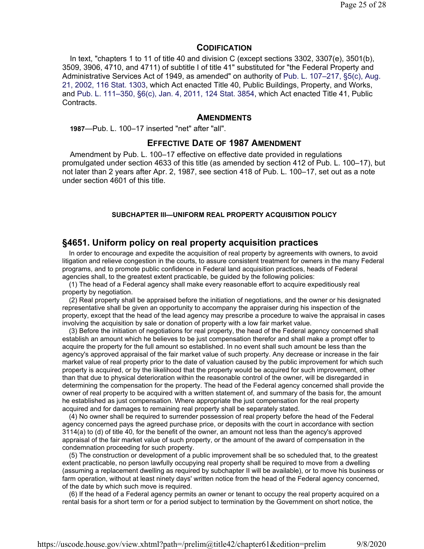### **CODIFICATION**

In text, "chapters 1 to 11 of title 40 and division C (except sections 3302, 3307(e), 3501(b), 3509, 3906, 4710, and 4711) of subtitle I of title 41" substituted for "the Federal Property and Administrative Services Act of 1949, as amended" on authority of Pub. L. 107–217, §5(c), Aug. 21, 2002, 116 Stat. 1303, which Act enacted Title 40, Public Buildings, Property, and Works, and Pub. L. 111–350, §6(c), Jan. 4, 2011, 124 Stat. 3854, which Act enacted Title 41, Public Contracts.

### **AMENDMENTS**

**1987**—Pub. L. 100–17 inserted "net" after "all".

#### **EFFECTIVE DATE OF 1987 AMENDMENT**

Amendment by Pub. L. 100–17 effective on effective date provided in regulations promulgated under section 4633 of this title (as amended by section 412 of Pub. L. 100–17), but not later than 2 years after Apr. 2, 1987, see section 418 of Pub. L. 100–17, set out as a note under section 4601 of this title.

#### **SUBCHAPTER III—UNIFORM REAL PROPERTY ACQUISITION POLICY**

## **§4651. Uniform policy on real property acquisition practices**

In order to encourage and expedite the acquisition of real property by agreements with owners, to avoid litigation and relieve congestion in the courts, to assure consistent treatment for owners in the many Federal programs, and to promote public confidence in Federal land acquisition practices, heads of Federal agencies shall, to the greatest extent practicable, be guided by the following policies:

(1) The head of a Federal agency shall make every reasonable effort to acquire expeditiously real property by negotiation.

(2) Real property shall be appraised before the initiation of negotiations, and the owner or his designated representative shall be given an opportunity to accompany the appraiser during his inspection of the property, except that the head of the lead agency may prescribe a procedure to waive the appraisal in cases involving the acquisition by sale or donation of property with a low fair market value.

(3) Before the initiation of negotiations for real property, the head of the Federal agency concerned shall establish an amount which he believes to be just compensation therefor and shall make a prompt offer to acquire the property for the full amount so established. In no event shall such amount be less than the agency's approved appraisal of the fair market value of such property. Any decrease or increase in the fair market value of real property prior to the date of valuation caused by the public improvement for which such property is acquired, or by the likelihood that the property would be acquired for such improvement, other than that due to physical deterioration within the reasonable control of the owner, will be disregarded in determining the compensation for the property. The head of the Federal agency concerned shall provide the owner of real property to be acquired with a written statement of, and summary of the basis for, the amount he established as just compensation. Where appropriate the just compensation for the real property acquired and for damages to remaining real property shall be separately stated.

(4) No owner shall be required to surrender possession of real property before the head of the Federal agency concerned pays the agreed purchase price, or deposits with the court in accordance with section 3114(a) to (d) of title 40, for the benefit of the owner, an amount not less than the agency's approved appraisal of the fair market value of such property, or the amount of the award of compensation in the condemnation proceeding for such property.

(5) The construction or development of a public improvement shall be so scheduled that, to the greatest extent practicable, no person lawfully occupying real property shall be required to move from a dwelling (assuming a replacement dwelling as required by subchapter II will be available), or to move his business or farm operation, without at least ninety days' written notice from the head of the Federal agency concerned, of the date by which such move is required.

(6) If the head of a Federal agency permits an owner or tenant to occupy the real property acquired on a rental basis for a short term or for a period subject to termination by the Government on short notice, the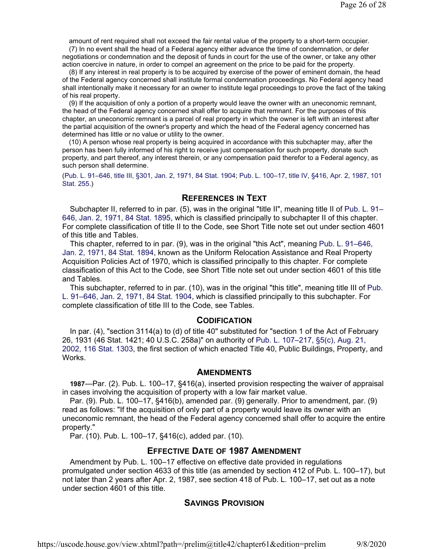amount of rent required shall not exceed the fair rental value of the property to a short-term occupier.

(7) In no event shall the head of a Federal agency either advance the time of condemnation, or defer negotiations or condemnation and the deposit of funds in court for the use of the owner, or take any other action coercive in nature, in order to compel an agreement on the price to be paid for the property.

(8) If any interest in real property is to be acquired by exercise of the power of eminent domain, the head of the Federal agency concerned shall institute formal condemnation proceedings. No Federal agency head shall intentionally make it necessary for an owner to institute legal proceedings to prove the fact of the taking of his real property.

(9) If the acquisition of only a portion of a property would leave the owner with an uneconomic remnant, the head of the Federal agency concerned shall offer to acquire that remnant. For the purposes of this chapter, an uneconomic remnant is a parcel of real property in which the owner is left with an interest after the partial acquisition of the owner's property and which the head of the Federal agency concerned has determined has little or no value or utility to the owner.

(10) A person whose real property is being acquired in accordance with this subchapter may, after the person has been fully informed of his right to receive just compensation for such property, donate such property, and part thereof, any interest therein, or any compensation paid therefor to a Federal agency, as such person shall determine.

(Pub. L. 91–646, title III, §301, Jan. 2, 1971, 84 Stat. 1904; Pub. L. 100–17, title IV, §416, Apr. 2, 1987, 101 Stat. 255.)

# **REFERENCES IN TEXT**

Subchapter II, referred to in par. (5), was in the original "title II", meaning title II of Pub. L. 91– 646, Jan. 2, 1971, 84 Stat. 1895, which is classified principally to subchapter II of this chapter. For complete classification of title II to the Code, see Short Title note set out under section 4601 of this title and Tables.

This chapter, referred to in par. (9), was in the original "this Act", meaning Pub. L. 91–646, Jan. 2, 1971, 84 Stat. 1894, known as the Uniform Relocation Assistance and Real Property Acquisition Policies Act of 1970, which is classified principally to this chapter. For complete classification of this Act to the Code, see Short Title note set out under section 4601 of this title and Tables.

This subchapter, referred to in par. (10), was in the original "this title", meaning title III of Pub. L. 91–646, Jan. 2, 1971, 84 Stat. 1904, which is classified principally to this subchapter. For complete classification of title III to the Code, see Tables.

### **CODIFICATION**

In par. (4), "section 3114(a) to (d) of title 40" substituted for "section 1 of the Act of February 26, 1931 (46 Stat. 1421; 40 U.S.C. 258a)" on authority of Pub. L. 107–217, §5(c), Aug. 21, 2002, 116 Stat. 1303, the first section of which enacted Title 40, Public Buildings, Property, and Works.

### **AMENDMENTS**

**1987**—Par. (2). Pub. L. 100–17, §416(a), inserted provision respecting the waiver of appraisal in cases involving the acquisition of property with a low fair market value.

Par. (9). Pub. L. 100–17, §416(b), amended par. (9) generally. Prior to amendment, par. (9) read as follows: "If the acquisition of only part of a property would leave its owner with an uneconomic remnant, the head of the Federal agency concerned shall offer to acquire the entire property."

Par. (10). Pub. L. 100–17, §416(c), added par. (10).

# **EFFECTIVE DATE OF 1987 AMENDMENT**

Amendment by Pub. L. 100–17 effective on effective date provided in regulations promulgated under section 4633 of this title (as amended by section 412 of Pub. L. 100–17), but not later than 2 years after Apr. 2, 1987, see section 418 of Pub. L. 100–17, set out as a note under section 4601 of this title.

# **SAVINGS PROVISION**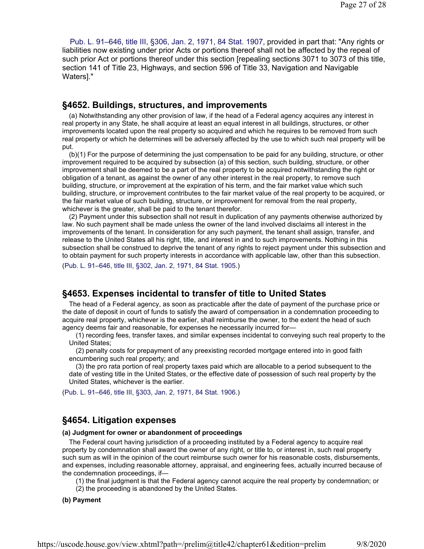Pub. L. 91–646, title III, §306, Jan. 2, 1971, 84 Stat. 1907, provided in part that: "Any rights or liabilities now existing under prior Acts or portions thereof shall not be affected by the repeal of such prior Act or portions thereof under this section [repealing sections 3071 to 3073 of this title, section 141 of Title 23, Highways, and section 596 of Title 33, Navigation and Navigable Waters]."

### **§4652. Buildings, structures, and improvements**

(a) Notwithstanding any other provision of law, if the head of a Federal agency acquires any interest in real property in any State, he shall acquire at least an equal interest in all buildings, structures, or other improvements located upon the real property so acquired and which he requires to be removed from such real property or which he determines will be adversely affected by the use to which such real property will be put.

(b)(1) For the purpose of determining the just compensation to be paid for any building, structure, or other improvement required to be acquired by subsection (a) of this section, such building, structure, or other improvement shall be deemed to be a part of the real property to be acquired notwithstanding the right or obligation of a tenant, as against the owner of any other interest in the real property, to remove such building, structure, or improvement at the expiration of his term, and the fair market value which such building, structure, or improvement contributes to the fair market value of the real property to be acquired, or the fair market value of such building, structure, or improvement for removal from the real property, whichever is the greater, shall be paid to the tenant therefor.

(2) Payment under this subsection shall not result in duplication of any payments otherwise authorized by law. No such payment shall be made unless the owner of the land involved disclaims all interest in the improvements of the tenant. In consideration for any such payment, the tenant shall assign, transfer, and release to the United States all his right, title, and interest in and to such improvements. Nothing in this subsection shall be construed to deprive the tenant of any rights to reject payment under this subsection and to obtain payment for such property interests in accordance with applicable law, other than this subsection.

(Pub. L. 91–646, title III, §302, Jan. 2, 1971, 84 Stat. 1905.)

# **§4653. Expenses incidental to transfer of title to United States**

The head of a Federal agency, as soon as practicable after the date of payment of the purchase price or the date of deposit in court of funds to satisfy the award of compensation in a condemnation proceeding to acquire real property, whichever is the earlier, shall reimburse the owner, to the extent the head of such agency deems fair and reasonable, for expenses he necessarily incurred for—

(1) recording fees, transfer taxes, and similar expenses incidental to conveying such real property to the United States;

(2) penalty costs for prepayment of any preexisting recorded mortgage entered into in good faith encumbering such real property; and

(3) the pro rata portion of real property taxes paid which are allocable to a period subsequent to the date of vesting title in the United States, or the effective date of possession of such real property by the United States, whichever is the earlier.

(Pub. L. 91–646, title III, §303, Jan. 2, 1971, 84 Stat. 1906.)

## **§4654. Litigation expenses**

#### **(a) Judgment for owner or abandonment of proceedings**

The Federal court having jurisdiction of a proceeding instituted by a Federal agency to acquire real property by condemnation shall award the owner of any right, or title to, or interest in, such real property such sum as will in the opinion of the court reimburse such owner for his reasonable costs, disbursements, and expenses, including reasonable attorney, appraisal, and engineering fees, actually incurred because of the condemnation proceedings, if—

(1) the final judgment is that the Federal agency cannot acquire the real property by condemnation; or

(2) the proceeding is abandoned by the United States.

#### **(b) Payment**